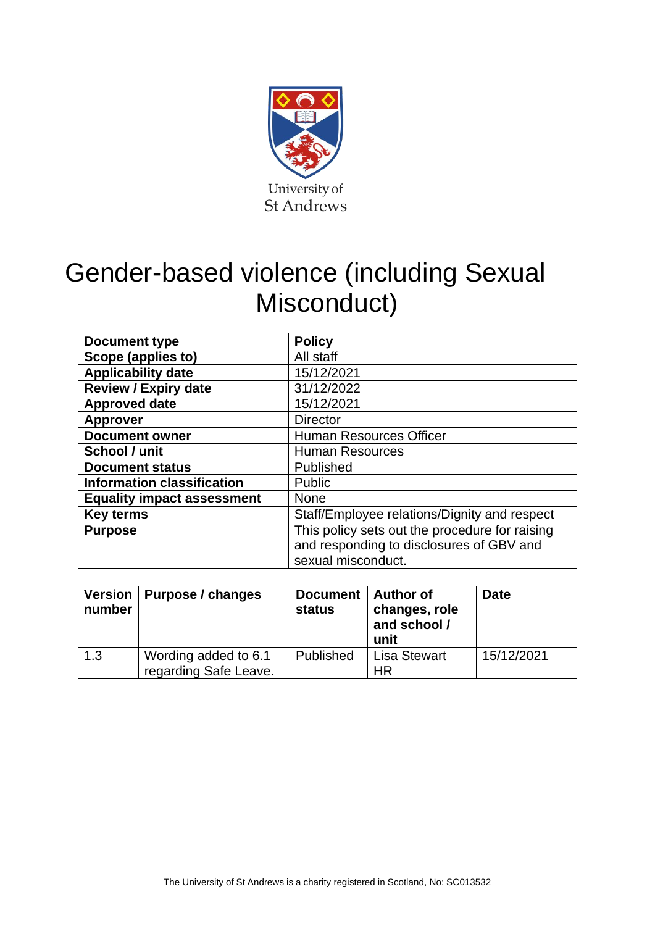

# Gender-based violence (including Sexual Misconduct)

| <b>Document type</b>                        | <b>Policy</b>                                                                                                    |  |
|---------------------------------------------|------------------------------------------------------------------------------------------------------------------|--|
| Scope (applies to)                          | All staff                                                                                                        |  |
| <b>Applicability date</b>                   | 15/12/2021                                                                                                       |  |
| <b>Review / Expiry date</b>                 | 31/12/2022                                                                                                       |  |
| <b>Approved date</b>                        | 15/12/2021                                                                                                       |  |
| <b>Approver</b>                             | <b>Director</b>                                                                                                  |  |
| <b>Document owner</b>                       | <b>Human Resources Officer</b>                                                                                   |  |
| School / unit                               | <b>Human Resources</b>                                                                                           |  |
| <b>Document status</b><br>Published         |                                                                                                                  |  |
| <b>Information classification</b><br>Public |                                                                                                                  |  |
| <b>Equality impact assessment</b>           | <b>None</b>                                                                                                      |  |
| <b>Key terms</b>                            | Staff/Employee relations/Dignity and respect                                                                     |  |
| <b>Purpose</b>                              | This policy sets out the procedure for raising<br>and responding to disclosures of GBV and<br>sexual misconduct. |  |

| <b>Version</b><br>number | Purpose / changes                             | Document   Author of<br><b>status</b> | changes, role<br>and school /<br>unit | <b>Date</b> |
|--------------------------|-----------------------------------------------|---------------------------------------|---------------------------------------|-------------|
| 1.3                      | Wording added to 6.1<br>regarding Safe Leave. | Published                             | <b>Lisa Stewart</b><br><b>HR</b>      | 15/12/2021  |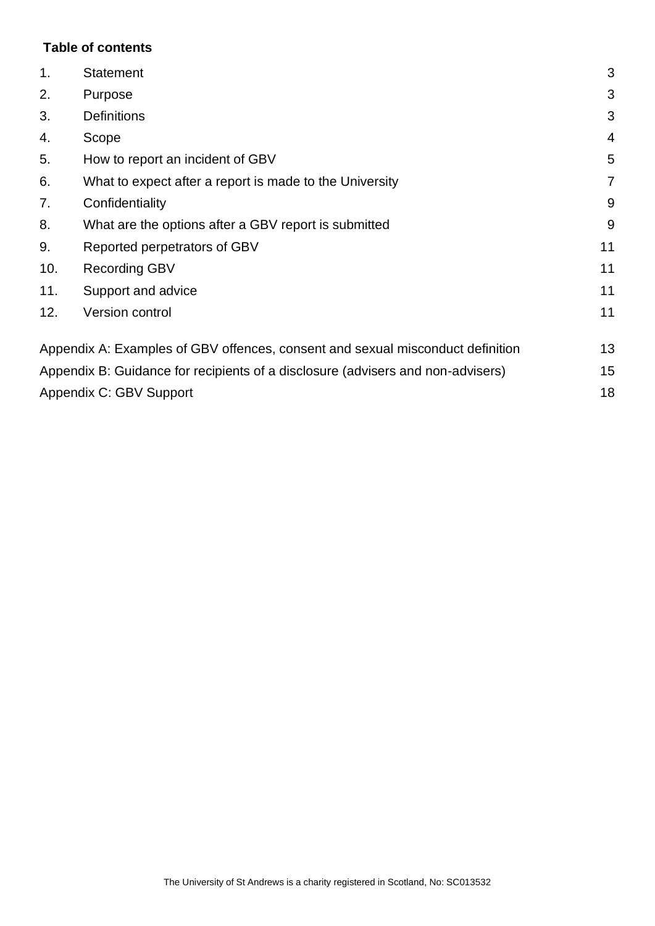# **Table of contents**

| 1.                                                                              | <b>Statement</b>                                                               | 3              |
|---------------------------------------------------------------------------------|--------------------------------------------------------------------------------|----------------|
| 2.                                                                              | Purpose                                                                        | 3              |
| 3.                                                                              | <b>Definitions</b>                                                             | 3              |
| 4.                                                                              | Scope                                                                          | $\overline{4}$ |
| 5.                                                                              | How to report an incident of GBV                                               | 5              |
| 6.                                                                              | What to expect after a report is made to the University                        | $\overline{7}$ |
| 7.                                                                              | Confidentiality                                                                | 9              |
| 8.                                                                              | What are the options after a GBV report is submitted                           |                |
| 9.                                                                              | Reported perpetrators of GBV                                                   | 11             |
| 10.                                                                             | <b>Recording GBV</b>                                                           | 11             |
| 11.                                                                             | Support and advice                                                             | 11             |
| 12.                                                                             | Version control                                                                | 11             |
|                                                                                 | Appendix A: Examples of GBV offences, consent and sexual misconduct definition | 13             |
| Appendix B: Guidance for recipients of a disclosure (advisers and non-advisers) |                                                                                |                |
|                                                                                 | Appendix C: GBV Support                                                        | 18             |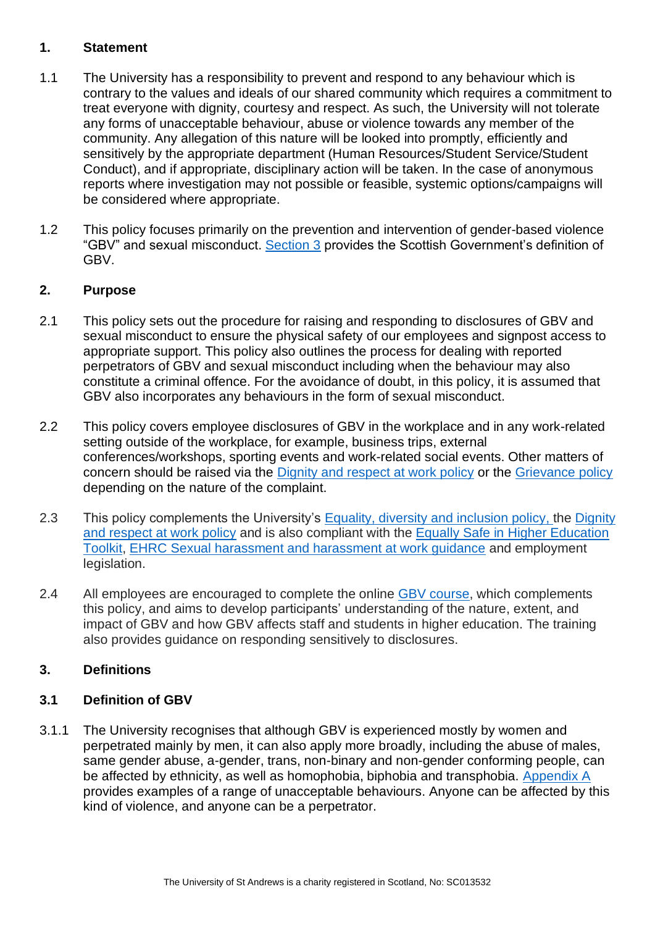#### <span id="page-2-0"></span>**1. Statement**

- 1.1 The University has a responsibility to prevent and respond to any behaviour which is contrary to the values and ideals of our shared community which requires a commitment to treat everyone with dignity, courtesy and respect. As such, the University will not tolerate any forms of unacceptable behaviour, abuse or violence towards any member of the community. Any allegation of this nature will be looked into promptly, efficiently and sensitively by the appropriate department (Human Resources/Student Service/Student Conduct), and if appropriate, disciplinary action will be taken. In the case of anonymous reports where investigation may not possible or feasible, systemic options/campaigns will be considered where appropriate.
- 1.2 This policy focuses primarily on the prevention and intervention of gender-based violence "GBV" and sexual misconduct. [Section 3](#page-2-2) provides the Scottish Government's definition of GBV.

# <span id="page-2-1"></span>**2. Purpose**

- 2.1 This policy sets out the procedure for raising and responding to disclosures of GBV and sexual misconduct to ensure the physical safety of our employees and signpost access to appropriate support. This policy also outlines the process for dealing with reported perpetrators of GBV and sexual misconduct including when the behaviour may also constitute a criminal offence. For the avoidance of doubt, in this policy, it is assumed that GBV also incorporates any behaviours in the form of sexual misconduct.
- 2.2 This policy covers employee disclosures of GBV in the workplace and in any work-related setting outside of the workplace, for example, business trips, external conferences/workshops, sporting events and work-related social events. Other matters of concern should be raised via the [Dignity and respect at work policy](https://www.st-andrews.ac.uk/media/human-resources/new-policy-section-documents/dignityandrespectatwork/Dignity_and_Respect_at_Work_Policy.pdf) or the [Grievance policy](https://www.st-andrews.ac.uk/media/human-resources/new-policy-section-documents/grievance-procedure-for-all-staff/Grievance%20Policy%20August%202018.pdf) depending on the nature of the complaint.
- 2.3 This policy complements the University's [Equality, diversity and inclusion policy,](https://www.st-andrews.ac.uk/staff/policy/hr/equalitydiversityinclusion/) the [Dignity](https://www.st-andrews.ac.uk/media/human-resources/new-policy-section-documents/dignityandrespectatwork/Dignity_and_Respect_at_Work_Policy.pdf)  [and respect at work policy](https://www.st-andrews.ac.uk/media/human-resources/new-policy-section-documents/dignityandrespectatwork/Dignity_and_Respect_at_Work_Policy.pdf) and is also compliant with the Equally Safe in [Higher Education](https://www.strath.ac.uk/media/1newwebsite/departmentsubject/socialwork/documents/eshe/Equally_Safe_Doc_1_pgs_inc_ISBN.pdf)  [Toolkit,](https://www.strath.ac.uk/media/1newwebsite/departmentsubject/socialwork/documents/eshe/Equally_Safe_Doc_1_pgs_inc_ISBN.pdf) [EHRC Sexual harassment and harassment at work guidance](https://www.equalityhumanrights.com/sites/default/files/sexual_harassment_and_harassment_at_work.pdf) and employment legislation.
- 2.4 All employees are encouraged to complete the online [GBV course,](https://staffresources.uhi.ac.uk/GBV/) which complements this policy, and aims to develop participants' understanding of the nature, extent, and impact of GBV and how GBV affects staff and students in higher education. The training also provides guidance on responding sensitively to disclosures.

# <span id="page-2-2"></span>**3. Definitions**

# **3.1 Definition of GBV**

3.1.1 The University recognises that although GBV is experienced mostly by women and perpetrated mainly by men, it can also apply more broadly, including the abuse of males, same gender abuse, a-gender, trans, non-binary and non-gender conforming people, can be affected by ethnicity, as well as homophobia, biphobia and transphobia. Appendix A provides examples of a range of unacceptable behaviours. Anyone can be affected by this kind of violence, and anyone can be a perpetrator.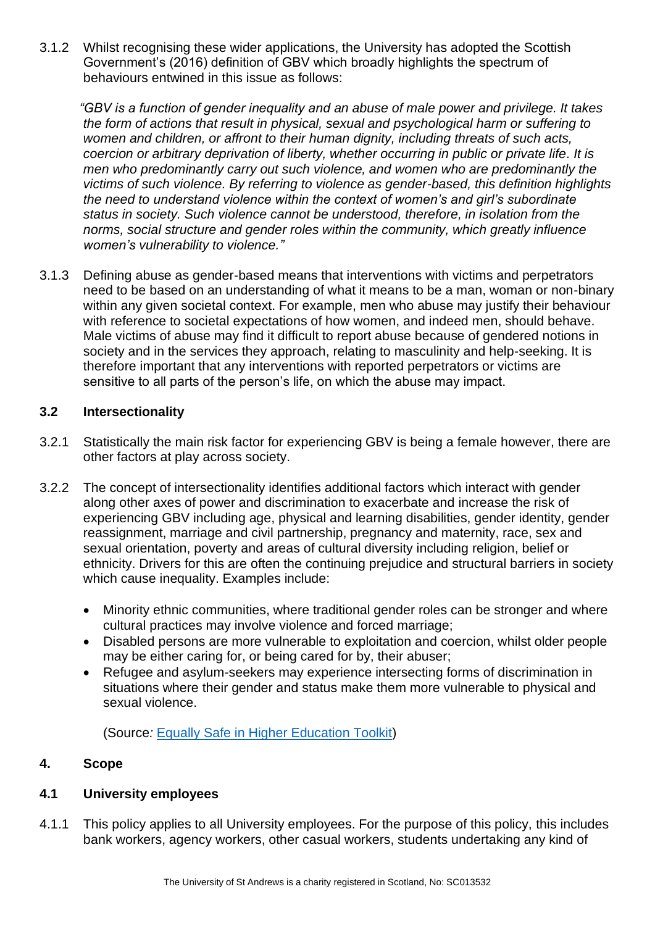3.1.2 Whilst recognising these wider applications, the University has adopted the Scottish Government's (2016) definition of GBV which broadly highlights the spectrum of behaviours entwined in this issue as follows:

*"GBV is a function of gender inequality and an abuse of male power and privilege. It takes the form of actions that result in physical, sexual and psychological harm or suffering to women and children, or affront to their human dignity, including threats of such acts, coercion or arbitrary deprivation of liberty, whether occurring in public or private life. It is men who predominantly carry out such violence, and women who are predominantly the victims of such violence. By referring to violence as gender-based, this definition highlights the need to understand violence within the context of women's and girl's subordinate status in society. Such violence cannot be understood, therefore, in isolation from the norms, social structure and gender roles within the community, which greatly influence women's vulnerability to violence."* 

3.1.3 Defining abuse as gender-based means that interventions with victims and perpetrators need to be based on an understanding of what it means to be a man, woman or non-binary within any given societal context. For example, men who abuse may justify their behaviour with reference to societal expectations of how women, and indeed men, should behave. Male victims of abuse may find it difficult to report abuse because of gendered notions in society and in the services they approach, relating to masculinity and help-seeking. It is therefore important that any interventions with reported perpetrators or victims are sensitive to all parts of the person's life, on which the abuse may impact.

# **3.2 Intersectionality**

- 3.2.1 Statistically the main risk factor for experiencing GBV is being a female however, there are other factors at play across society.
- 3.2.2 The concept of intersectionality identifies additional factors which interact with gender along other axes of power and discrimination to exacerbate and increase the risk of experiencing GBV including age, physical and learning disabilities, gender identity, gender reassignment, marriage and civil partnership, pregnancy and maternity, race, sex and sexual orientation, poverty and areas of cultural diversity including religion, belief or ethnicity. Drivers for this are often the continuing prejudice and structural barriers in society which cause inequality. Examples include:
	- Minority ethnic communities, where traditional gender roles can be stronger and where cultural practices may involve violence and forced marriage;
	- Disabled persons are more vulnerable to exploitation and coercion, whilst older people may be either caring for, or being cared for by, their abuser;
	- Refugee and asylum-seekers may experience intersecting forms of discrimination in situations where their gender and status make them more vulnerable to physical and sexual violence.

(Source*:* [Equally Safe in Higher Education Toolkit\)](https://www.strath.ac.uk/media/1newwebsite/departmentsubject/socialwork/documents/eshe/Equally_Safe_Doc_1_pgs_inc_ISBN.pdf)

# <span id="page-3-0"></span>**4. Scope**

#### **4.1 University employees**

4.1.1 This policy applies to all University employees. For the purpose of this policy, this includes bank workers, agency workers, other casual workers, students undertaking any kind of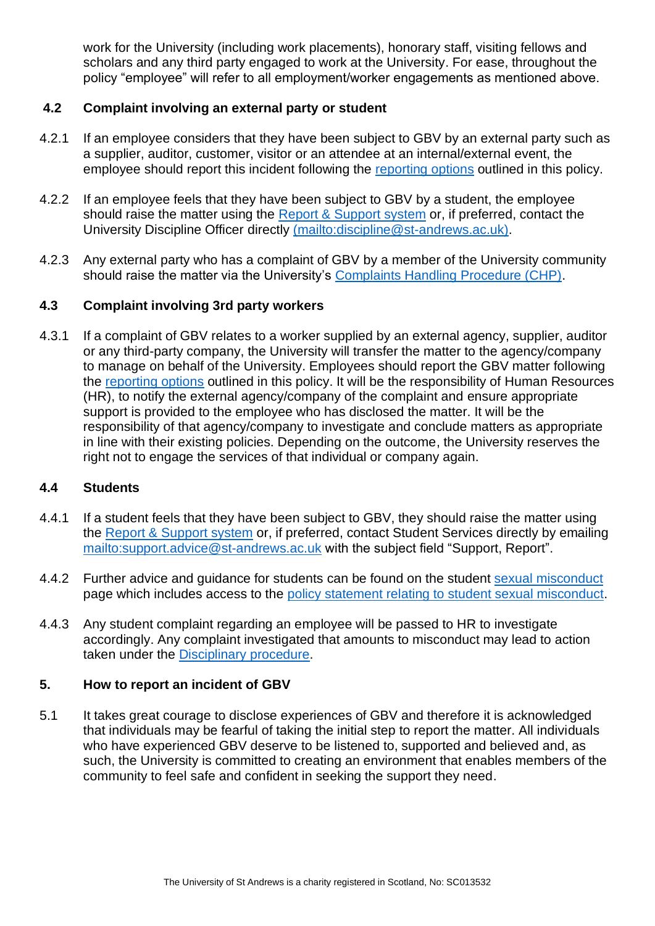work for the University (including work placements), honorary staff, visiting fellows and scholars and any third party engaged to work at the University. For ease, throughout the policy "employee" will refer to all employment/worker engagements as mentioned above.

# **4.2 Complaint involving an external party or student**

- 4.2.1 If an employee considers that they have been subject to GBV by an external party such as a supplier, auditor, customer, visitor or an attendee at an internal/external event, the employee should report this incident following the [reporting options](#page-4-0) outlined in this policy.
- 4.2.2 If an employee feels that they have been subject to GBV by a student, the employee should raise the matter using the [Report & Support system](https://reportandsupport.st-andrews.ac.uk/) or, if preferred, contact the University Discipline Officer directly [\(mailto:discipline@st-andrews.ac.uk\)](mailto:discipline@st-andrews.ac.uk).
- 4.2.3 Any external party who has a complaint of GBV by a member of the University community should raise the matter via the University's [Complaints Handling Procedure \(CHP\).](https://www.st-andrews.ac.uk/terms/complaints/)

### **4.3 Complaint involving 3rd party workers**

4.3.1 If a complaint of GBV relates to a worker supplied by an external agency, supplier, auditor or any third-party company, the University will transfer the matter to the agency/company to manage on behalf of the University. Employees should report the GBV matter following the [reporting options](#page-4-0) outlined in this policy. It will be the responsibility of Human Resources (HR), to notify the external agency/company of the complaint and ensure appropriate support is provided to the employee who has disclosed the matter. It will be the responsibility of that agency/company to investigate and conclude matters as appropriate in line with their existing policies. Depending on the outcome, the University reserves the right not to engage the services of that individual or company again.

#### **4.4 Students**

- 4.4.1 If a student feels that they have been subject to GBV, they should raise the matter using the [Report & Support system](https://reportandsupport.st-andrews.ac.uk/) or, if preferred, contact Student Services directly by emailing <mailto:support.advice@st-andrews.ac.uk> with the subject field "Support, Report".
- 4.4.2 Further advice and guidance for students can be found on the student [sexual misconduct](https://www.st-andrews.ac.uk/students/advice/personal/sexual-misconduct/) page which includes access to the [policy statement relating to student sexual misconduct.](https://www.st-andrews.ac.uk/policy/student-administration-non-academic-discipline/policy-statement-relating-to-student-sexual-misconduct.pdf)
- 4.4.3 Any student complaint regarding an employee will be passed to HR to investigate accordingly. Any complaint investigated that amounts to misconduct may lead to action taken under the [Disciplinary procedure.](https://www.st-andrews.ac.uk/policy/staff-employee-relations-conduct-management/disciplinary-procedure.pdf)

#### <span id="page-4-0"></span>**5. How to report an incident of GBV**

5.1 It takes great courage to disclose experiences of GBV and therefore it is acknowledged that individuals may be fearful of taking the initial step to report the matter. All individuals who have experienced GBV deserve to be listened to, supported and believed and, as such, the University is committed to creating an environment that enables members of the community to feel safe and confident in seeking the support they need.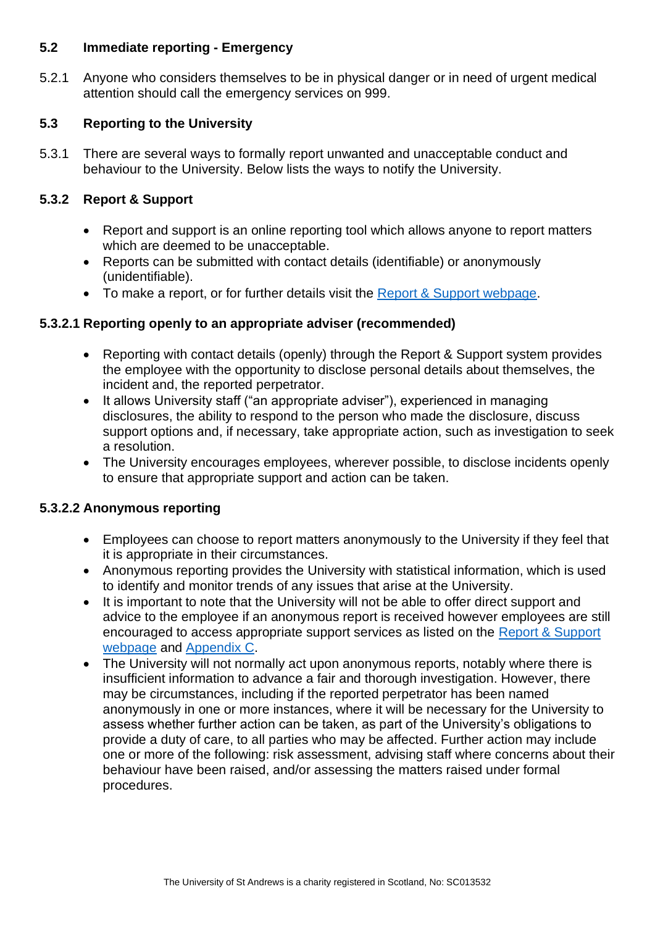#### **5.2 Immediate reporting - Emergency**

5.2.1 Anyone who considers themselves to be in physical danger or in need of urgent medical attention should call the emergency services on 999.

# **5.3 Reporting to the University**

5.3.1 There are several ways to formally report unwanted and unacceptable conduct and behaviour to the University. Below lists the ways to notify the University.

# **5.3.2 Report & Support**

- Report and support is an online reporting tool which allows anyone to report matters which are deemed to be unacceptable.
- Reports can be submitted with contact details (identifiable) or anonymously (unidentifiable).
- To make a report, or for further details visit the [Report & Support webpage.](https://reportandsupport.st-andrews.ac.uk/)

# <span id="page-5-0"></span>**5.3.2.1 Reporting openly to an appropriate adviser (recommended)**

- Reporting with contact details (openly) through the Report & Support system provides the employee with the opportunity to disclose personal details about themselves, the incident and, the reported perpetrator.
- It allows University staff ("an appropriate adviser"), experienced in managing disclosures, the ability to respond to the person who made the disclosure, discuss support options and, if necessary, take appropriate action, such as investigation to seek a resolution.
- The University encourages employees, wherever possible, to disclose incidents openly to ensure that appropriate support and action can be taken.

# **5.3.2.2 Anonymous reporting**

- Employees can choose to report matters anonymously to the University if they feel that it is appropriate in their circumstances.
- Anonymous reporting provides the University with statistical information, which is used to identify and monitor trends of any issues that arise at the University.
- It is important to note that the University will not be able to offer direct support and advice to the employee if an anonymous report is received however employees are still encouraged to access appropriate support services as listed on the [Report & Support](https://reportandsupport.st-andrews.ac.uk/)  [webpage](https://reportandsupport.st-andrews.ac.uk/) and [Appendix C.](#page-17-0)
- The University will not normally act upon anonymous reports, notably where there is insufficient information to advance a fair and thorough investigation. However, there may be circumstances, including if the reported perpetrator has been named anonymously in one or more instances, where it will be necessary for the University to assess whether further action can be taken, as part of the University's obligations to provide a duty of care, to all parties who may be affected. Further action may include one or more of the following: risk assessment, advising staff where concerns about their behaviour have been raised, and/or assessing the matters raised under formal procedures.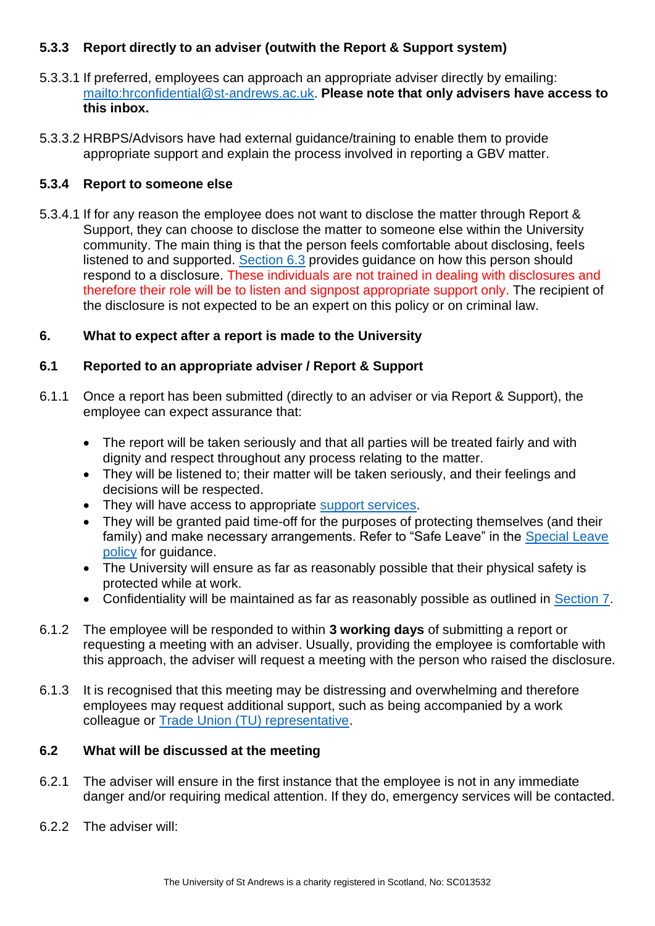# <span id="page-6-1"></span>**5.3.3 Report directly to an adviser (outwith the Report & Support system)**

- 5.3.3.1 If preferred, employees can approach an appropriate adviser directly by emailing: [mailto:hrconfidential@st-andrews.ac.uk.](mailto:hrconfidential@st-andrews.ac.uk) **Please note that only advisers have access to this inbox.**
- 5.3.3.2 HRBPS/Advisors have had external guidance/training to enable them to provide appropriate support and explain the process involved in reporting a GBV matter.

# **5.3.4 Report to someone else**

5.3.4.1 If for any reason the employee does not want to disclose the matter through Report & Support, they can choose to disclose the matter to someone else within the University community. The main thing is that the person feels comfortable about disclosing, feels listened to and supported. [Section 6.3](#page-7-0) provides guidance on how this person should respond to a disclosure. These individuals are not trained in dealing with disclosures and therefore their role will be to listen and signpost appropriate support only. The recipient of the disclosure is not expected to be an expert on this policy or on criminal law.

# <span id="page-6-0"></span>**6. What to expect after a report is made to the University**

### **6.1 Reported to an appropriate adviser / Report & Support**

- 6.1.1 Once a report has been submitted (directly to an adviser or via Report & Support), the employee can expect assurance that:
	- The report will be taken seriously and that all parties will be treated fairly and with dignity and respect throughout any process relating to the matter.
	- They will be listened to; their matter will be taken seriously, and their feelings and decisions will be respected.
	- They will have access to appropriate [support services.](#page-17-0)
	- They will be granted paid time-off for the purposes of protecting themselves (and their family) and make necessary arrangements. Refer to "Safe Leave" in the [Special Leave](https://www.st-andrews.ac.uk/policy/staff-annual-leave-and-other-absence-special-leave/special-leave.pdf)  [policy](https://www.st-andrews.ac.uk/policy/staff-annual-leave-and-other-absence-special-leave/special-leave.pdf) for guidance.
	- The University will ensure as far as reasonably possible that their physical safety is protected while at work.
	- Confidentiality will be maintained as far as reasonably possible as outlined in [Section](#page-8-0) 7.
- 6.1.2 The employee will be responded to within **3 working days** of submitting a report or requesting a meeting with an adviser. Usually, providing the employee is comfortable with this approach, the adviser will request a meeting with the person who raised the disclosure.
- 6.1.3 It is recognised that this meeting may be distressing and overwhelming and therefore employees may request additional support, such as being accompanied by a work colleague or [Trade Union \(TU\) representative.](https://www.st-andrews.ac.uk/staff/wellbeing/workplace-wellbeing/#tradeunions)

#### **6.2 What will be discussed at the meeting**

- 6.2.1 The adviser will ensure in the first instance that the employee is not in any immediate danger and/or requiring medical attention. If they do, emergency services will be contacted.
- 6.2.2 The adviser will: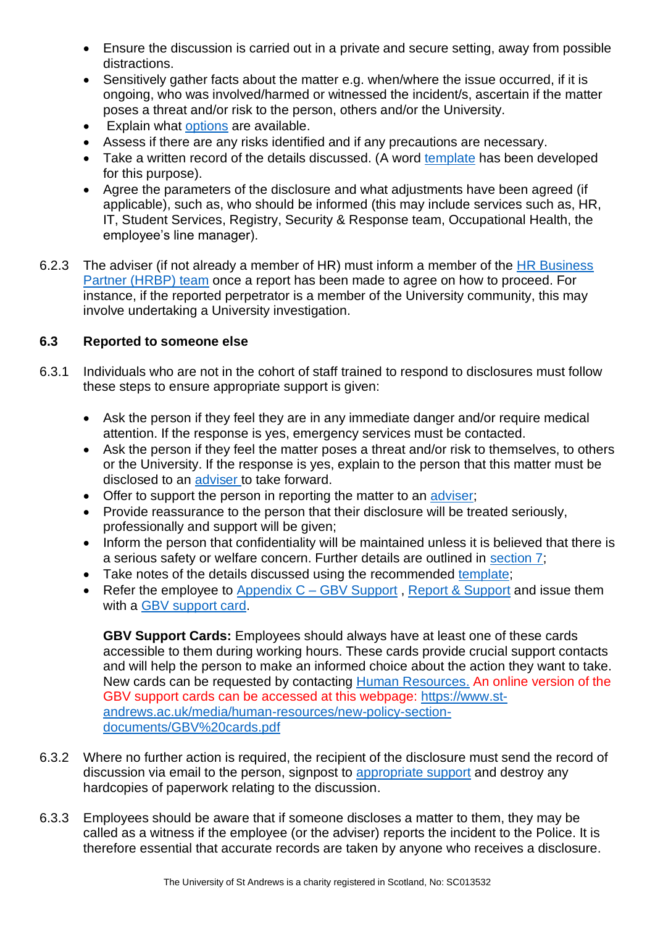- Ensure the discussion is carried out in a private and secure setting, away from possible distractions.
- Sensitively gather facts about the matter e.g. when/where the issue occurred, if it is ongoing, who was involved/harmed or witnessed the incident/s, ascertain if the matter poses a threat and/or risk to the person, others and/or the University.
- Explain what [options](#page-8-1) are available.
- Assess if there are any risks identified and if any precautions are necessary.
- Take a written record of the details discussed. (A word [template](https://www.st-andrews.ac.uk/media/human-resources/Record%20of%20disclosure.docx) has been developed for this purpose).
- Agree the parameters of the disclosure and what adjustments have been agreed (if applicable), such as, who should be informed (this may include services such as, HR, IT, Student Services, Registry, Security & Response team, Occupational Health, the employee's line manager).
- 6.2.3 The adviser (if not already a member of HR) must inform a member of the HR Business [Partner \(HRBP\) team](https://www.st-andrews.ac.uk/hr/businesspartner/) once a report has been made to agree on how to proceed. For instance, if the reported perpetrator is a member of the University community, this may involve undertaking a University investigation.

# <span id="page-7-0"></span>**6.3 Reported to someone else**

- 6.3.1 Individuals who are not in the cohort of staff trained to respond to disclosures must follow these steps to ensure appropriate support is given:
	- Ask the person if they feel they are in any immediate danger and/or require medical attention. If the response is yes, emergency services must be contacted.
	- Ask the person if they feel the matter poses a threat and/or risk to themselves, to others or the University. If the response is yes, explain to the person that this matter must be disclosed to an [adviser](#page-6-1) to take forward.
	- Offer to support the person in reporting the matter to an [adviser;](#page-6-1)
	- Provide reassurance to the person that their disclosure will be treated seriously, professionally and support will be given;
	- Inform the person that confidentiality will be maintained unless it is believed that there is a serious safety or welfare concern. Further details are outlined in [section](#page-8-0) 7;
	- Take notes of the details discussed using the recommended [template;](https://www.st-andrews.ac.uk/media/human-resources/Record%20of%20disclosure.docx)
	- Refer the employee to Appendix  $C GBV$  Support, [Report &](https://reportandsupport.st-andrews.ac.uk/) Support and issue them with a [GBV support card.](https://www.st-andrews.ac.uk/media/human-resources/new-policy-section-documents/GBV%20cards.pdf)

**GBV Support Cards:** Employees should always have at least one of these cards accessible to them during working hours. These cards provide crucial support contacts and will help the person to make an informed choice about the action they want to take. New cards can be requested by contacting [Human Resources.](mailto:s%20%3chumres@st-andrews.ac.uk%3e?subject=Request%20new%20GBV%20cards) An online version of the GBV support cards can be accessed at this webpage: [https://www.st](https://www.st-andrews.ac.uk/media/human-resources/new-policy-section-documents/GBV%20cards.pdf)[andrews.ac.uk/media/human-resources/new-policy-section](https://www.st-andrews.ac.uk/media/human-resources/new-policy-section-documents/GBV%20cards.pdf)[documents/GBV%20cards.pdf](https://www.st-andrews.ac.uk/media/human-resources/new-policy-section-documents/GBV%20cards.pdf)

- 6.3.2 Where no further action is required, the recipient of the disclosure must send the record of discussion via email to the person, signpost to [appropriate support](#page-17-0) and destroy any hardcopies of paperwork relating to the discussion.
- 6.3.3 Employees should be aware that if someone discloses a matter to them, they may be called as a witness if the employee (or the adviser) reports the incident to the Police. It is therefore essential that accurate records are taken by anyone who receives a disclosure.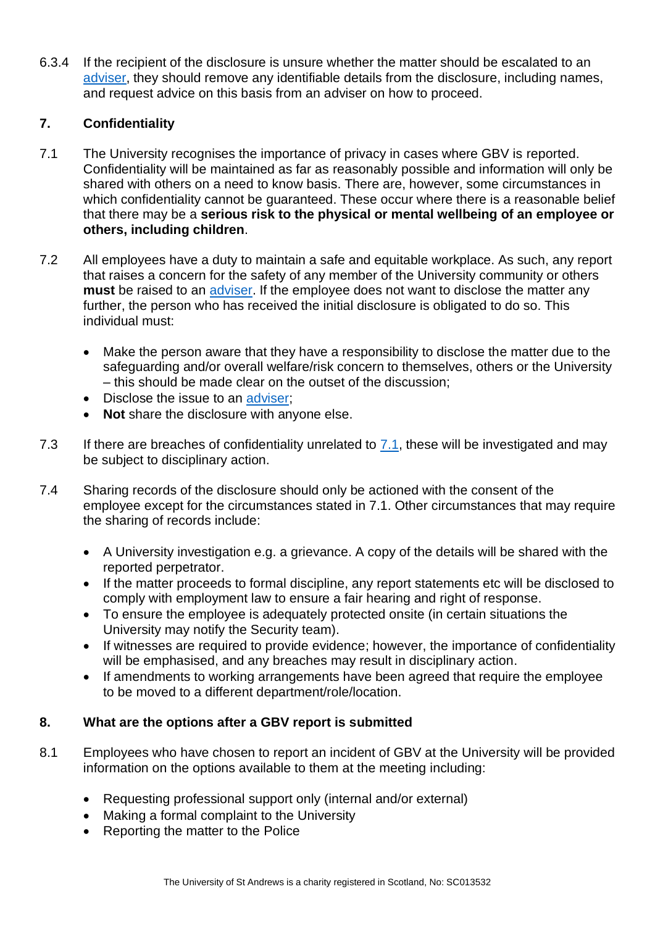6.3.4 If the recipient of the disclosure is unsure whether the matter should be escalated to an [adviser,](#page-6-1) they should remove any identifiable details from the disclosure, including names, and request advice on this basis from an adviser on how to proceed.

# <span id="page-8-0"></span>**7. Confidentiality**

- 7.1 The University recognises the importance of privacy in cases where GBV is reported. Confidentiality will be maintained as far as reasonably possible and information will only be shared with others on a need to know basis. There are, however, some circumstances in which confidentiality cannot be quaranteed. These occur where there is a reasonable belief that there may be a **serious risk to the physical or mental wellbeing of an employee or others, including children**.
- 7.2 All employees have a duty to maintain a safe and equitable workplace. As such, any report that raises a concern for the safety of any member of the University community or others **must** be raised to an [adviser.](#page-5-0) If the employee does not want to disclose the matter any further, the person who has received the initial disclosure is obligated to do so. This individual must:
	- Make the person aware that they have a responsibility to disclose the matter due to the safeguarding and/or overall welfare/risk concern to themselves, others or the University – this should be made clear on the outset of the discussion;
	- Disclose the issue to an adviser:
	- **Not** share the disclosure with anyone else.
- 7.3 If there are breaches of confidentiality unrelated to  $7.1$ , these will be investigated and may be subject to disciplinary action.
- 7.4 Sharing records of the disclosure should only be actioned with the consent of the employee except for the circumstances stated in 7.1. Other circumstances that may require the sharing of records include:
	- A University investigation e.g. a grievance. A copy of the details will be shared with the reported perpetrator.
	- If the matter proceeds to formal discipline, any report statements etc will be disclosed to comply with employment law to ensure a fair hearing and right of response.
	- To ensure the employee is adequately protected onsite (in certain situations the University may notify the Security team).
	- If witnesses are required to provide evidence; however, the importance of confidentiality will be emphasised, and any breaches may result in disciplinary action.
	- If amendments to working arrangements have been agreed that require the employee to be moved to a different department/role/location.

#### <span id="page-8-1"></span>**8. What are the options after a GBV report is submitted**

- 8.1 Employees who have chosen to report an incident of GBV at the University will be provided information on the options available to them at the meeting including:
	- Requesting professional support only (internal and/or external)
	- Making a formal complaint to the University
	- Reporting the matter to the Police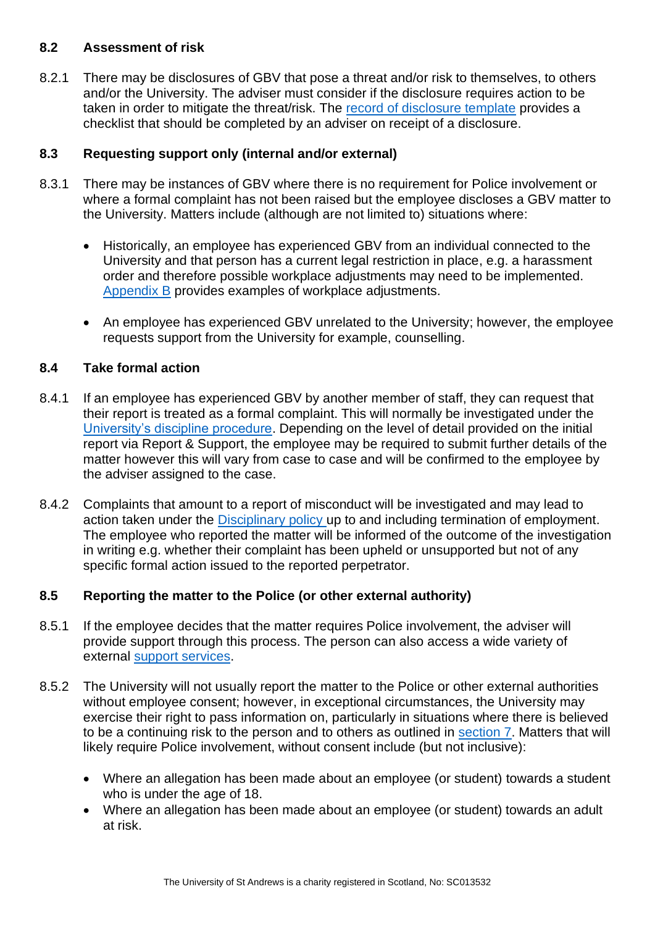#### **8.2 Assessment of risk**

8.2.1 There may be disclosures of GBV that pose a threat and/or risk to themselves, to others and/or the University. The adviser must consider if the disclosure requires action to be taken in order to mitigate the threat/risk. The [record of disclosure template](https://www.st-andrews.ac.uk/media/human-resources/Record%20of%20disclosure.docx) provides a checklist that should be completed by an adviser on receipt of a disclosure.

### **8.3 Requesting support only (internal and/or external)**

- 8.3.1 There may be instances of GBV where there is no requirement for Police involvement or where a formal complaint has not been raised but the employee discloses a GBV matter to the University. Matters include (although are not limited to) situations where:
	- Historically, an employee has experienced GBV from an individual connected to the University and that person has a current legal restriction in place, e.g. a harassment order and therefore possible workplace adjustments may need to be implemented. [Appendix B](#page-13-0) provides examples of workplace adjustments.
	- An employee has experienced GBV unrelated to the University; however, the employee requests support from the University for example, counselling.

### **8.4 Take formal action**

- 8.4.1 If an employee has experienced GBV by another member of staff, they can request that their report is treated as a formal complaint. This will normally be investigated under the [University's discipline procedure.](https://www.st-andrews.ac.uk/policy/staff-employee-relations-conduct-management/disciplinary-procedure.pdf) Depending on the level of detail provided on the initial report via Report & Support, the employee may be required to submit further details of the matter however this will vary from case to case and will be confirmed to the employee by the adviser assigned to the case.
- 8.4.2 Complaints that amount to a report of misconduct will be investigated and may lead to action taken under the [Disciplinary policy](https://www.st-andrews.ac.uk/policy/staff-employee-relations-conduct-management/disciplinary-procedure.pdf) up to and including termination of employment. The employee who reported the matter will be informed of the outcome of the investigation in writing e.g. whether their complaint has been upheld or unsupported but not of any specific formal action issued to the reported perpetrator.

# **8.5 Reporting the matter to the Police (or other external authority)**

- 8.5.1 If the employee decides that the matter requires Police involvement, the adviser will provide support through this process. The person can also access a wide variety of external [support services.](#page-17-0)
- 8.5.2 The University will not usually report the matter to the Police or other external authorities without employee consent; however, in exceptional circumstances, the University may exercise their right to pass information on, particularly in situations where there is believed to be a continuing risk to the person and to others as outlined in [section 7.](#page-8-0) Matters that will likely require Police involvement, without consent include (but not inclusive):
	- Where an allegation has been made about an employee (or student) towards a student who is under the age of 18.
	- Where an allegation has been made about an employee (or student) towards an adult at risk.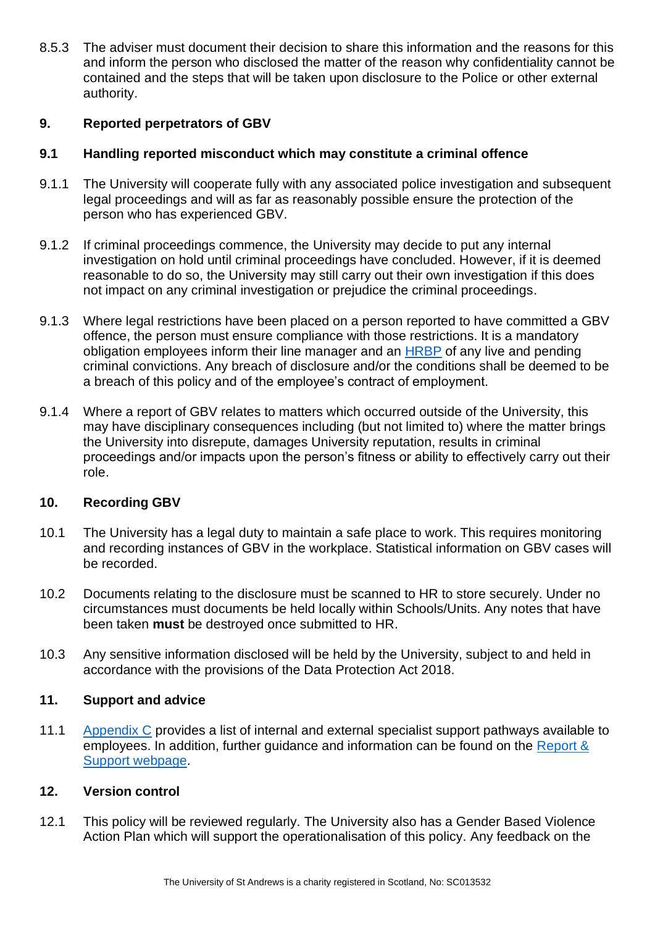8.5.3 The adviser must document their decision to share this information and the reasons for this and inform the person who disclosed the matter of the reason why confidentiality cannot be contained and the steps that will be taken upon disclosure to the Police or other external authority.

# <span id="page-10-0"></span>**9. Reported perpetrators of GBV**

#### **9.1 Handling reported misconduct which may constitute a criminal offence**

- 9.1.1 The University will cooperate fully with any associated police investigation and subsequent legal proceedings and will as far as reasonably possible ensure the protection of the person who has experienced GBV.
- 9.1.2 If criminal proceedings commence, the University may decide to put any internal investigation on hold until criminal proceedings have concluded. However, if it is deemed reasonable to do so, the University may still carry out their own investigation if this does not impact on any criminal investigation or prejudice the criminal proceedings.
- 9.1.3 Where legal restrictions have been placed on a person reported to have committed a GBV offence, the person must ensure compliance with those restrictions. It is a mandatory obligation employees inform their line manager and an [HRBP](https://www.st-andrews.ac.uk/hr/businesspartner/) of any live and pending criminal convictions. Any breach of disclosure and/or the conditions shall be deemed to be a breach of this policy and of the employee's contract of employment.
- 9.1.4 Where a report of GBV relates to matters which occurred outside of the University, this may have disciplinary consequences including (but not limited to) where the matter brings the University into disrepute, damages University reputation, results in criminal proceedings and/or impacts upon the person's fitness or ability to effectively carry out their role.

# <span id="page-10-1"></span>**10. Recording GBV**

- 10.1 The University has a legal duty to maintain a safe place to work. This requires monitoring and recording instances of GBV in the workplace. Statistical information on GBV cases will be recorded.
- 10.2 Documents relating to the disclosure must be scanned to HR to store securely. Under no circumstances must documents be held locally within Schools/Units. Any notes that have been taken **must** be destroyed once submitted to HR.
- 10.3 Any sensitive information disclosed will be held by the University, subject to and held in accordance with the provisions of the Data Protection Act 2018.

#### <span id="page-10-2"></span>**11. Support and advice**

11.1 [Appendix C](#page-17-0) provides a list of internal and external specialist support pathways available to employees. In addition, further guidance and information can be found on the [Report &](https://reportandsupport.st-andrews.ac.uk/)  [Support webpage.](https://reportandsupport.st-andrews.ac.uk/)

#### <span id="page-10-3"></span>**12. Version control**

12.1 This policy will be reviewed regularly. The University also has a Gender Based Violence Action Plan which will support the operationalisation of this policy. Any feedback on the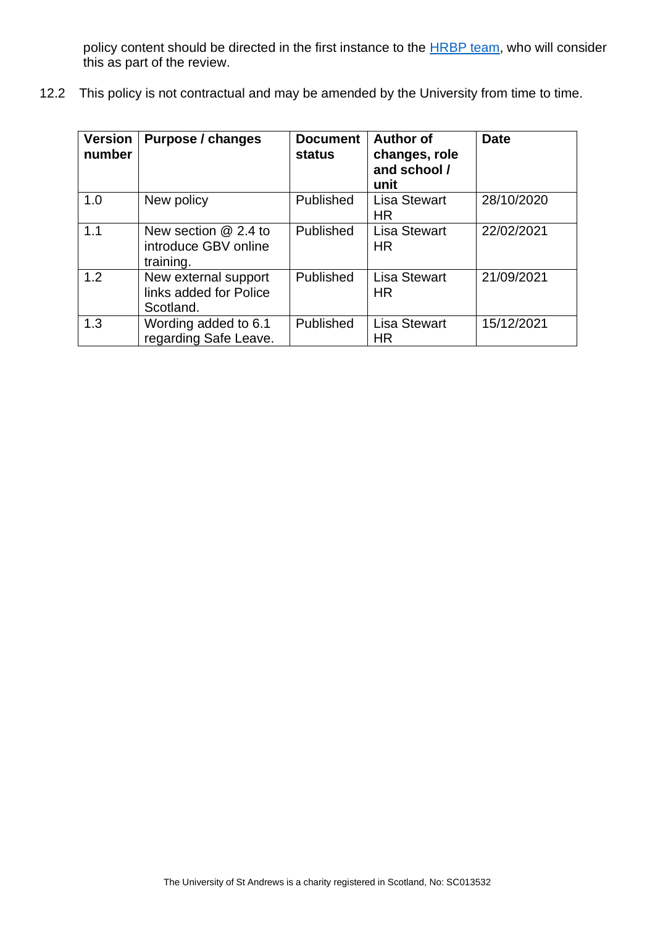policy content should be directed in the first instance to the **HRBP** team, who will consider this as part of the review.

12.2 This policy is not contractual and may be amended by the University from time to time.

| <b>Version</b><br>number | Purpose / changes                                           | <b>Document</b><br><b>status</b> | <b>Author of</b><br>changes, role<br>and school /<br>unit | <b>Date</b> |
|--------------------------|-------------------------------------------------------------|----------------------------------|-----------------------------------------------------------|-------------|
| 1.0                      | New policy                                                  | Published                        | <b>Lisa Stewart</b><br><b>HR</b>                          | 28/10/2020  |
| 1.1                      | New section $@$ 2.4 to<br>introduce GBV online<br>training. | <b>Published</b>                 | <b>Lisa Stewart</b><br><b>HR</b>                          | 22/02/2021  |
| 1.2                      | New external support<br>links added for Police<br>Scotland. | Published                        | <b>Lisa Stewart</b><br><b>HR</b>                          | 21/09/2021  |
| 1.3                      | Wording added to 6.1<br>regarding Safe Leave.               | Published                        | <b>Lisa Stewart</b><br><b>HR</b>                          | 15/12/2021  |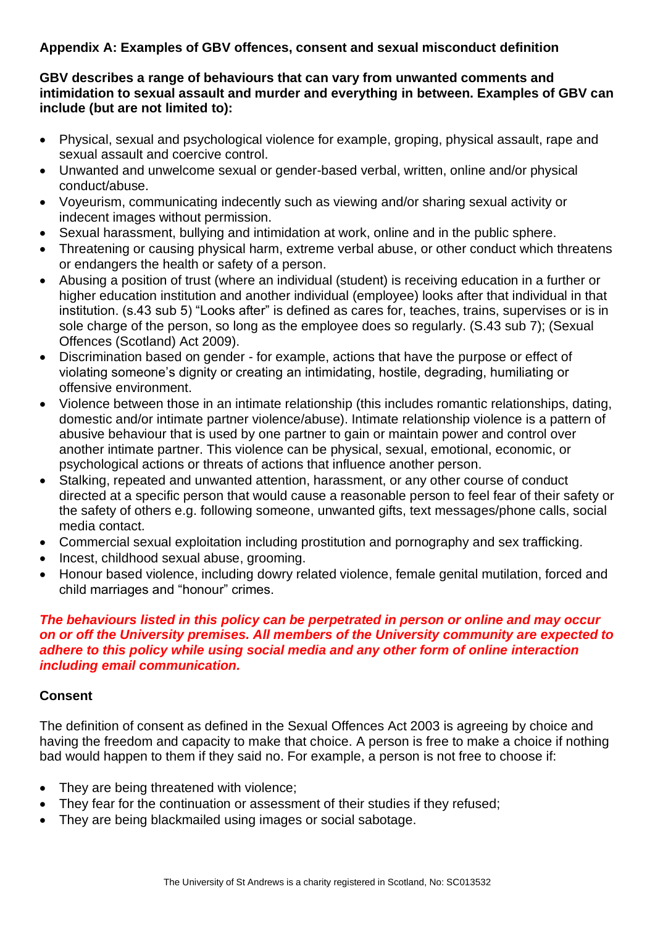# <span id="page-12-0"></span>**Appendix A: Examples of GBV offences, consent and sexual misconduct definition**

#### **GBV describes a range of behaviours that can vary from unwanted comments and intimidation to sexual assault and murder and everything in between. Examples of GBV can include (but are not limited to):**

- Physical, sexual and psychological violence for example, groping, physical assault, rape and sexual assault and coercive control.
- Unwanted and unwelcome sexual or gender-based verbal, written, online and/or physical conduct/abuse.
- Voyeurism, communicating indecently such as viewing and/or sharing sexual activity or indecent images without permission.
- Sexual harassment, bullying and intimidation at work, online and in the public sphere.
- Threatening or causing physical harm, extreme verbal abuse, or other conduct which threatens or endangers the health or safety of a person.
- Abusing a position of trust (where an individual (student) is receiving education in a further or higher education institution and another individual (employee) looks after that individual in that institution. (s.43 sub 5) "Looks after" is defined as cares for, teaches, trains, supervises or is in sole charge of the person, so long as the employee does so regularly. (S.43 sub 7); (Sexual Offences (Scotland) Act 2009).
- Discrimination based on gender for example, actions that have the purpose or effect of violating someone's dignity or creating an intimidating, hostile, degrading, humiliating or offensive environment.
- Violence between those in an intimate relationship (this includes romantic relationships, dating, domestic and/or intimate partner violence/abuse). Intimate relationship violence is a pattern of abusive behaviour that is used by one partner to gain or maintain power and control over another intimate partner. This violence can be physical, sexual, emotional, economic, or psychological actions or threats of actions that influence another person.
- Stalking, repeated and unwanted attention, harassment, or any other course of conduct directed at a specific person that would cause a reasonable person to feel fear of their safety or the safety of others e.g. following someone, unwanted gifts, text messages/phone calls, social media contact.
- Commercial sexual exploitation including prostitution and pornography and sex trafficking.
- Incest, childhood sexual abuse, grooming.
- Honour based violence, including dowry related violence, female genital mutilation, forced and child marriages and "honour" crimes.

#### *The behaviours listed in this policy can be perpetrated in person or online and may occur on or off the University premises. All members of the University community are expected to adhere to this policy while using social media and any other form of online interaction including email communication.*

# **Consent**

The definition of consent as defined in the Sexual Offences Act 2003 is agreeing by choice and having the freedom and capacity to make that choice. A person is free to make a choice if nothing bad would happen to them if they said no. For example, a person is not free to choose if:

- They are being threatened with violence;
- They fear for the continuation or assessment of their studies if they refused;
- They are being blackmailed using images or social sabotage.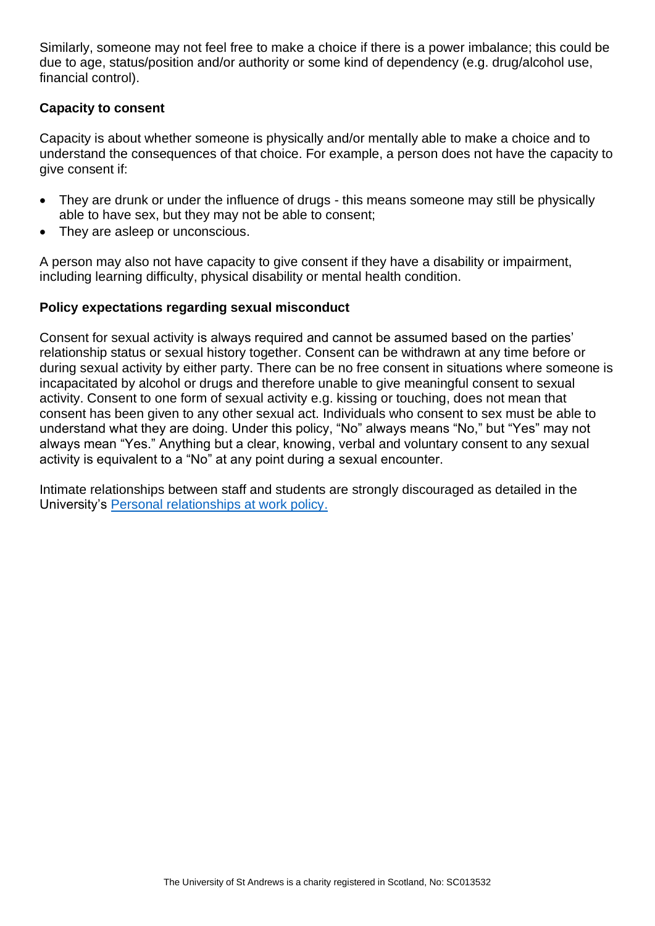Similarly, someone may not feel free to make a choice if there is a power imbalance; this could be due to age, status/position and/or authority or some kind of dependency (e.g. drug/alcohol use, financial control).

# **Capacity to consent**

Capacity is about whether someone is physically and/or mentally able to make a choice and to understand the consequences of that choice. For example, a person does not have the capacity to give consent if:

- They are drunk or under the influence of drugs this means someone may still be physically able to have sex, but they may not be able to consent;
- They are asleep or unconscious.

A person may also not have capacity to give consent if they have a disability or impairment, including learning difficulty, physical disability or mental health condition.

### **Policy expectations regarding sexual misconduct**

Consent for sexual activity is always required and cannot be assumed based on the parties' relationship status or sexual history together. Consent can be withdrawn at any time before or during sexual activity by either party. There can be no free consent in situations where someone is incapacitated by alcohol or drugs and therefore unable to give meaningful consent to sexual activity. Consent to one form of sexual activity e.g. kissing or touching, does not mean that consent has been given to any other sexual act. Individuals who consent to sex must be able to understand what they are doing. Under this policy, "No" always means "No," but "Yes" may not always mean "Yes." Anything but a clear, knowing, verbal and voluntary consent to any sexual activity is equivalent to a "No" at any point during a sexual encounter.

<span id="page-13-0"></span>Intimate relationships between staff and students are strongly discouraged as detailed in the University's [Personal relationships at work policy.](https://www.st-andrews.ac.uk/policy/staff-employee-relations-conduct-management/personal-relationships-at-work-policy.pdf)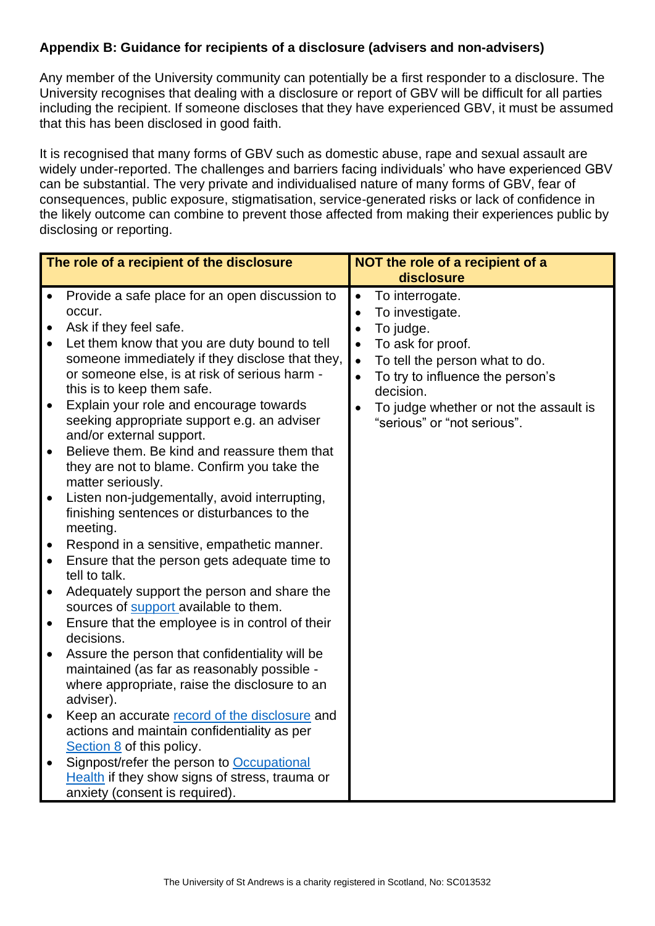# <span id="page-14-0"></span>**Appendix B: Guidance for recipients of a disclosure (advisers and non-advisers)**

Any member of the University community can potentially be a first responder to a disclosure. The University recognises that dealing with a disclosure or report of GBV will be difficult for all parties including the recipient. If someone discloses that they have experienced GBV, it must be assumed that this has been disclosed in good faith.

It is recognised that many forms of GBV such as domestic abuse, rape and sexual assault are widely under-reported. The challenges and barriers facing individuals' who have experienced GBV can be substantial. The very private and individualised nature of many forms of GBV, fear of consequences, public exposure, stigmatisation, service-generated risks or lack of confidence in the likely outcome can combine to prevent those affected from making their experiences public by disclosing or reporting.

| The role of a recipient of the disclosure                                                                                                                                                                                                                                                                                                                                                                                                                                                                                                                                                                                                                                                                                                                                                                                                                                                                                                                                                                                                                                                                                                                                                                                                                                                                                                                                                                                                                                      | NOT the role of a recipient of a<br>disclosure                                                                                                                                                                                                                                                    |
|--------------------------------------------------------------------------------------------------------------------------------------------------------------------------------------------------------------------------------------------------------------------------------------------------------------------------------------------------------------------------------------------------------------------------------------------------------------------------------------------------------------------------------------------------------------------------------------------------------------------------------------------------------------------------------------------------------------------------------------------------------------------------------------------------------------------------------------------------------------------------------------------------------------------------------------------------------------------------------------------------------------------------------------------------------------------------------------------------------------------------------------------------------------------------------------------------------------------------------------------------------------------------------------------------------------------------------------------------------------------------------------------------------------------------------------------------------------------------------|---------------------------------------------------------------------------------------------------------------------------------------------------------------------------------------------------------------------------------------------------------------------------------------------------|
| Provide a safe place for an open discussion to<br>$\bullet$<br>occur.<br>Ask if they feel safe.<br>$\bullet$<br>Let them know that you are duty bound to tell<br>someone immediately if they disclose that they,<br>or someone else, is at risk of serious harm -<br>this is to keep them safe.<br>Explain your role and encourage towards<br>$\bullet$<br>seeking appropriate support e.g. an adviser<br>and/or external support.<br>Believe them. Be kind and reassure them that<br>$\bullet$<br>they are not to blame. Confirm you take the<br>matter seriously.<br>Listen non-judgementally, avoid interrupting,<br>$\bullet$<br>finishing sentences or disturbances to the<br>meeting.<br>Respond in a sensitive, empathetic manner.<br>$\bullet$<br>Ensure that the person gets adequate time to<br>$\bullet$<br>tell to talk.<br>Adequately support the person and share the<br>$\bullet$<br>sources of support available to them.<br>Ensure that the employee is in control of their<br>$\bullet$<br>decisions.<br>Assure the person that confidentiality will be<br>$\bullet$<br>maintained (as far as reasonably possible -<br>where appropriate, raise the disclosure to an<br>adviser).<br>Keep an accurate record of the disclosure and<br>$\bullet$<br>actions and maintain confidentiality as per<br>Section 8 of this policy.<br>Signpost/refer the person to Occupational<br>Health if they show signs of stress, trauma or<br>anxiety (consent is required). | To interrogate.<br>$\bullet$<br>To investigate.<br>$\bullet$<br>To judge.<br>$\bullet$<br>To ask for proof.<br>$\bullet$<br>To tell the person what to do.<br>$\bullet$<br>To try to influence the person's<br>decision.<br>To judge whether or not the assault is<br>"serious" or "not serious". |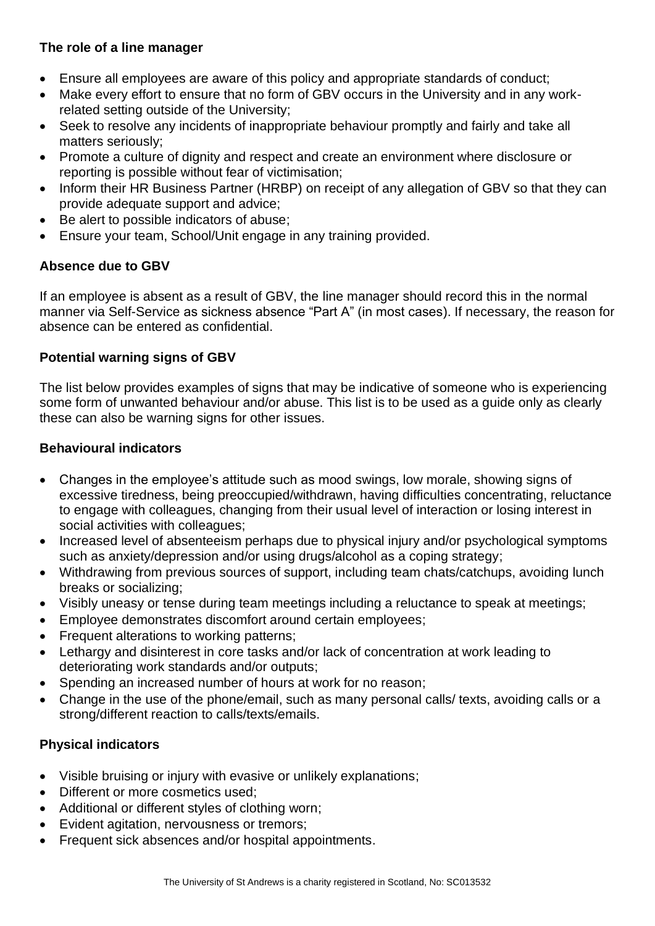# **The role of a line manager**

- Ensure all employees are aware of this policy and appropriate standards of conduct;
- Make every effort to ensure that no form of GBV occurs in the University and in any workrelated setting outside of the University;
- Seek to resolve any incidents of inappropriate behaviour promptly and fairly and take all matters seriously;
- Promote a culture of dignity and respect and create an environment where disclosure or reporting is possible without fear of victimisation;
- Inform their [HR Business Partner \(HRBP\)](https://www.st-andrews.ac.uk/hr/businesspartner/) on receipt of any allegation of GBV so that they can provide adequate support and advice;
- Be alert to possible indicators of abuse;
- Ensure your team, School/Unit engage in any training provided.

# **Absence due to GBV**

If an employee is absent as a result of GBV, the line manager should record this in the normal manner via Self-Service as sickness absence "Part A" (in most cases). If necessary, the reason for absence can be entered as confidential.

# **Potential warning signs of GBV**

The list below provides examples of signs that may be indicative of someone who is experiencing some form of unwanted behaviour and/or abuse. This list is to be used as a guide only as clearly these can also be warning signs for other issues.

### **Behavioural indicators**

- Changes in the employee's attitude such as mood swings, low morale, showing signs of excessive tiredness, being preoccupied/withdrawn, having difficulties concentrating, reluctance to engage with colleagues, changing from their usual level of interaction or losing interest in social activities with colleagues;
- Increased level of absenteeism perhaps due to physical injury and/or psychological symptoms such as anxiety/depression and/or using drugs/alcohol as a coping strategy;
- Withdrawing from previous sources of support, including team chats/catchups, avoiding lunch breaks or socializing;
- Visibly uneasy or tense during team meetings including a reluctance to speak at meetings;
- Employee demonstrates discomfort around certain employees;
- Frequent alterations to working patterns;
- Lethargy and disinterest in core tasks and/or lack of concentration at work leading to deteriorating work standards and/or outputs;
- Spending an increased number of hours at work for no reason;
- Change in the use of the phone/email, such as many personal calls/ texts, avoiding calls or a strong/different reaction to calls/texts/emails.

# **Physical indicators**

- Visible bruising or injury with evasive or unlikely explanations;
- Different or more cosmetics used;
- Additional or different styles of clothing worn;
- Evident agitation, nervousness or tremors;
- Frequent sick absences and/or hospital appointments.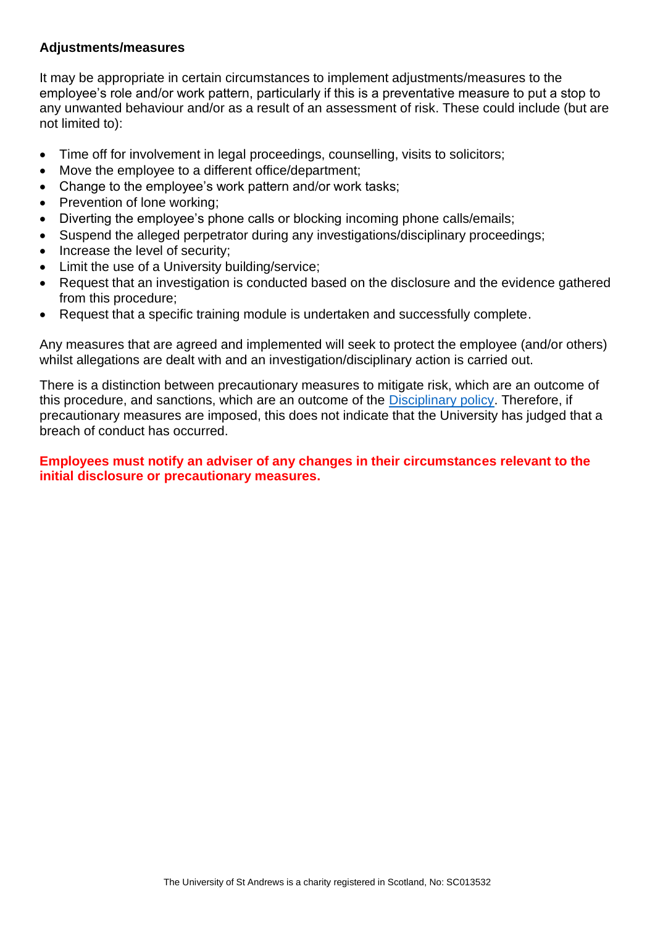#### **Adjustments/measures**

It may be appropriate in certain circumstances to implement adjustments/measures to the employee's role and/or work pattern, particularly if this is a preventative measure to put a stop to any unwanted behaviour and/or as a result of an assessment of risk. These could include (but are not limited to):

- Time off for involvement in legal proceedings, counselling, visits to solicitors;
- Move the employee to a different office/department;
- Change to the employee's work pattern and/or work tasks;
- Prevention of lone working:
- Diverting the employee's phone calls or blocking incoming phone calls/emails;
- Suspend the alleged perpetrator during any investigations/disciplinary proceedings;
- Increase the level of security;
- Limit the use of a University building/service;
- Request that an investigation is conducted based on the disclosure and the evidence gathered from this procedure;
- Request that a specific training module is undertaken and successfully complete.

Any measures that are agreed and implemented will seek to protect the employee (and/or others) whilst allegations are dealt with and an investigation/disciplinary action is carried out.

There is a distinction between precautionary measures to mitigate risk, which are an outcome of this procedure, and sanctions, which are an outcome of the [Disciplinary policy.](https://www.st-andrews.ac.uk/policy/staff-employee-relations-conduct-management/disciplinary-procedure.pdf) Therefore, if precautionary measures are imposed, this does not indicate that the University has judged that a breach of conduct has occurred.

#### **Employees must notify an adviser of any changes in their circumstances relevant to the initial disclosure or precautionary measures.**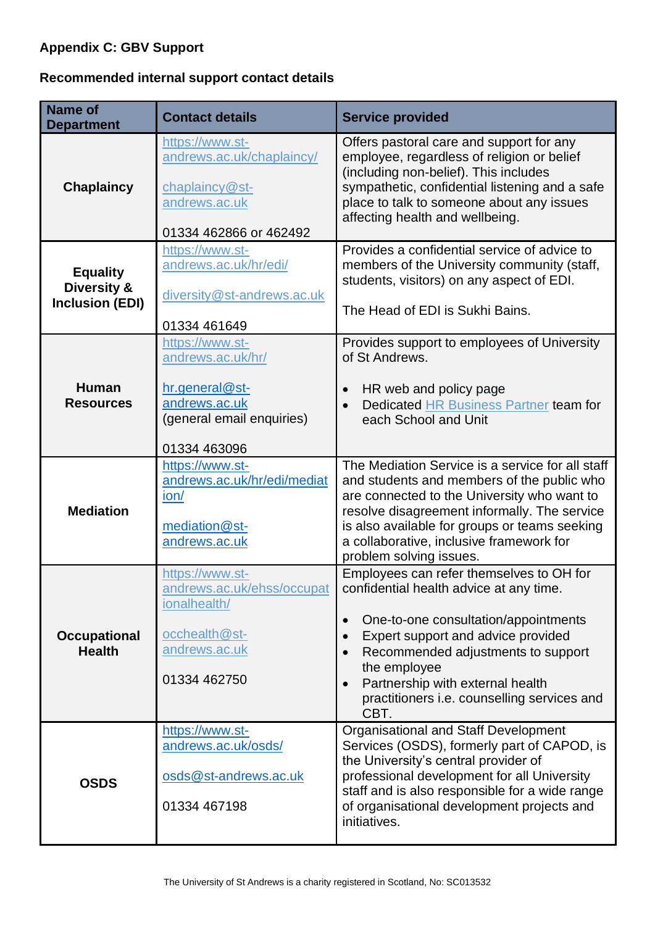# <span id="page-17-0"></span>**Appendix C: GBV Support**

# **Recommended internal support contact details**

| <b>Name of</b><br><b>Department</b>                      | <b>Contact details</b>                                                                                               | <b>Service provided</b>                                                                                                                                                                                                                                                                                               |
|----------------------------------------------------------|----------------------------------------------------------------------------------------------------------------------|-----------------------------------------------------------------------------------------------------------------------------------------------------------------------------------------------------------------------------------------------------------------------------------------------------------------------|
| <b>Chaplaincy</b>                                        | https://www.st-<br>andrews.ac.uk/chaplaincy/<br>chaplaincy@st-<br>andrews.ac.uk<br>01334 462866 or 462492            | Offers pastoral care and support for any<br>employee, regardless of religion or belief<br>(including non-belief). This includes<br>sympathetic, confidential listening and a safe<br>place to talk to someone about any issues<br>affecting health and wellbeing.                                                     |
| <b>Equality</b><br>Diversity &<br><b>Inclusion (EDI)</b> | https://www.st-<br>andrews.ac.uk/hr/edi/<br>diversity@st-andrews.ac.uk<br>01334 461649                               | Provides a confidential service of advice to<br>members of the University community (staff,<br>students, visitors) on any aspect of EDI.<br>The Head of EDI is Sukhi Bains.                                                                                                                                           |
| <b>Human</b><br><b>Resources</b>                         | https://www.st-<br>andrews.ac.uk/hr/<br>hr.general@st-<br>andrews.ac.uk<br>(general email enquiries)<br>01334 463096 | Provides support to employees of University<br>of St Andrews.<br>HR web and policy page<br>Dedicated HR Business Partner team for<br>each School and Unit                                                                                                                                                             |
| <b>Mediation</b>                                         | https://www.st-<br>andrews.ac.uk/hr/edi/mediat<br>ion/<br>mediation@st-<br>andrews.ac.uk                             | The Mediation Service is a service for all staff<br>and students and members of the public who<br>are connected to the University who want to<br>resolve disagreement informally. The service<br>is also available for groups or teams seeking<br>a collaborative, inclusive framework for<br>problem solving issues. |
| <b>Occupational</b><br><b>Health</b>                     | https://www.st-<br>andrews.ac.uk/ehss/occupat<br>ionalhealth/<br>occhealth@st-<br>andrews.ac.uk<br>01334 462750      | Employees can refer themselves to OH for<br>confidential health advice at any time.<br>One-to-one consultation/appointments<br>Expert support and advice provided<br>Recommended adjustments to support<br>the employee<br>Partnership with external health<br>practitioners i.e. counselling services and<br>CBT.    |
| <b>OSDS</b>                                              | https://www.st-<br>andrews.ac.uk/osds/<br>osds@st-andrews.ac.uk<br>01334 467198                                      | <b>Organisational and Staff Development</b><br>Services (OSDS), formerly part of CAPOD, is<br>the University's central provider of<br>professional development for all University<br>staff and is also responsible for a wide range<br>of organisational development projects and<br>initiatives.                     |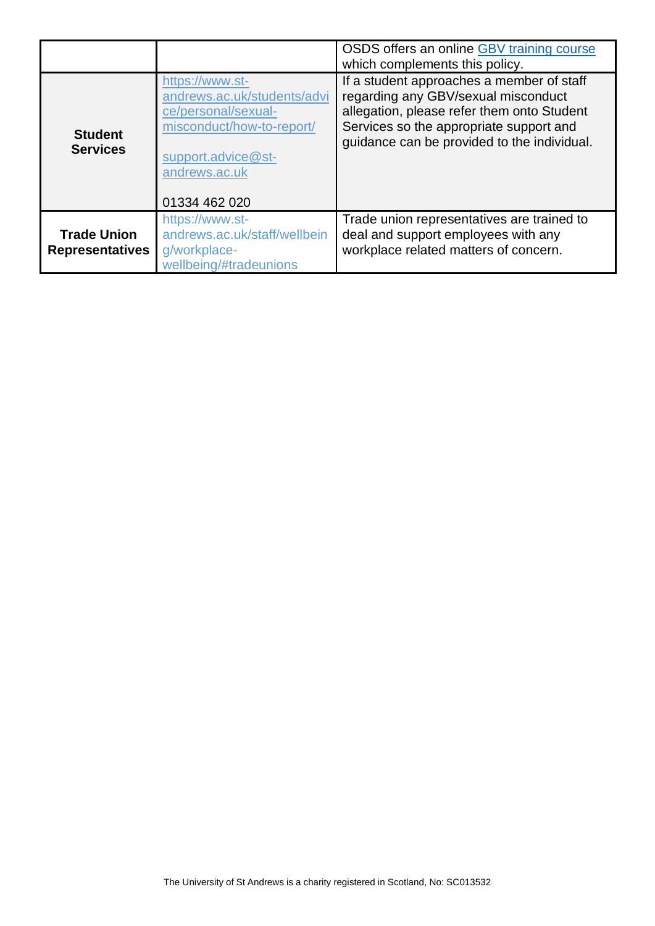|                                              |                                                                                                                                                            | OSDS offers an online GBV training course<br>which complements this policy.                                                                                                                                              |
|----------------------------------------------|------------------------------------------------------------------------------------------------------------------------------------------------------------|--------------------------------------------------------------------------------------------------------------------------------------------------------------------------------------------------------------------------|
| <b>Student</b><br><b>Services</b>            | https://www.st-<br>andrews.ac.uk/students/advi<br>ce/personal/sexual-<br>misconduct/how-to-report/<br>support.advice@st-<br>andrews.ac.uk<br>01334 462 020 | If a student approaches a member of staff<br>regarding any GBV/sexual misconduct<br>allegation, please refer them onto Student<br>Services so the appropriate support and<br>guidance can be provided to the individual. |
| <b>Trade Union</b><br><b>Representatives</b> | https://www.st-<br>andrews.ac.uk/staff/wellbein<br>g/workplace-<br>wellbeing/#tradeunions                                                                  | Trade union representatives are trained to<br>deal and support employees with any<br>workplace related matters of concern.                                                                                               |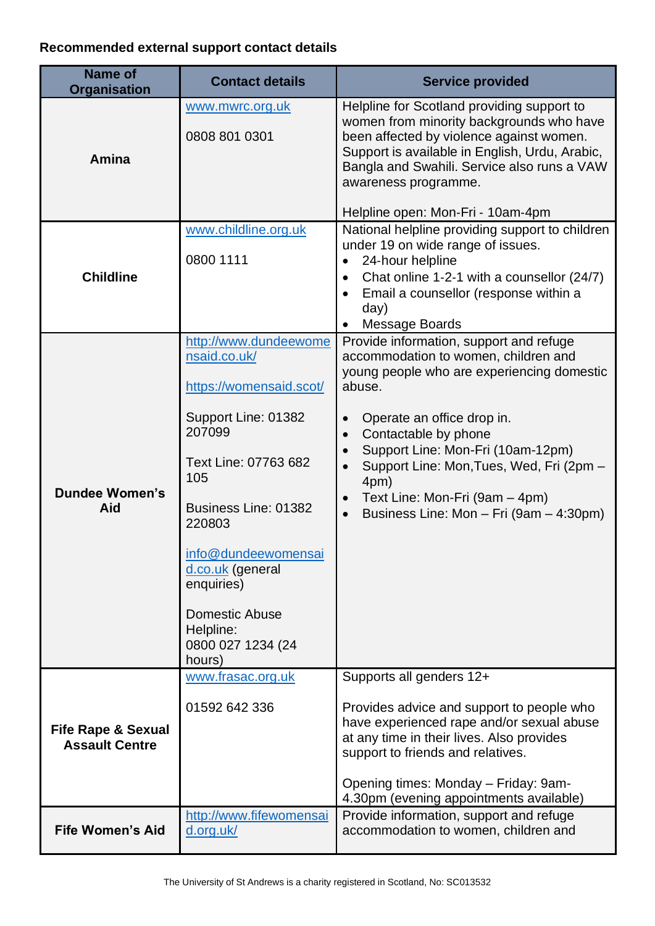# **Recommended external support contact details**

| <b>Name of</b><br><b>Organisation</b>                  | <b>Contact details</b>                                                                                                                                                                                                                                                                           | <b>Service provided</b>                                                                                                                                                                                                                                                                                                                                                          |
|--------------------------------------------------------|--------------------------------------------------------------------------------------------------------------------------------------------------------------------------------------------------------------------------------------------------------------------------------------------------|----------------------------------------------------------------------------------------------------------------------------------------------------------------------------------------------------------------------------------------------------------------------------------------------------------------------------------------------------------------------------------|
| Amina                                                  | www.mwrc.org.uk<br>0808 801 0301                                                                                                                                                                                                                                                                 | Helpline for Scotland providing support to<br>women from minority backgrounds who have<br>been affected by violence against women.<br>Support is available in English, Urdu, Arabic,<br>Bangla and Swahili. Service also runs a VAW<br>awareness programme.<br>Helpline open: Mon-Fri - 10am-4pm                                                                                 |
| <b>Childline</b>                                       | www.childline.org.uk<br>0800 1111                                                                                                                                                                                                                                                                | National helpline providing support to children<br>under 19 on wide range of issues.<br>24-hour helpline<br>Chat online 1-2-1 with a counsellor (24/7)<br>$\bullet$<br>Email a counsellor (response within a<br>day)<br>Message Boards                                                                                                                                           |
| <b>Dundee Women's</b><br>Aid                           | http://www.dundeewome<br>nsaid.co.uk/<br>https://womensaid.scot/<br>Support Line: 01382<br>207099<br>Text Line: 07763 682<br>105<br>Business Line: 01382<br>220803<br>info@dundeewomensai<br>d.co.uk (general<br>enquiries)<br><b>Domestic Abuse</b><br>Helpline:<br>0800 027 1234 (24<br>hours) | Provide information, support and refuge<br>accommodation to women, children and<br>young people who are experiencing domestic<br>abuse.<br>Operate an office drop in.<br>Contactable by phone<br>$\bullet$<br>Support Line: Mon-Fri (10am-12pm)<br>Support Line: Mon, Tues, Wed, Fri (2pm -<br>4pm)<br>Text Line: Mon-Fri (9am – 4pm)<br>Business Line: Mon - Fri (9am - 4:30pm) |
| <b>Fife Rape &amp; Sexual</b><br><b>Assault Centre</b> | www.frasac.org.uk<br>01592 642 336                                                                                                                                                                                                                                                               | Supports all genders 12+<br>Provides advice and support to people who<br>have experienced rape and/or sexual abuse<br>at any time in their lives. Also provides<br>support to friends and relatives.<br>Opening times: Monday - Friday: 9am-<br>4.30pm (evening appointments available)                                                                                          |
| <b>Fife Women's Aid</b>                                | http://www.fifewomensai<br>d.org.uk/                                                                                                                                                                                                                                                             | Provide information, support and refuge<br>accommodation to women, children and                                                                                                                                                                                                                                                                                                  |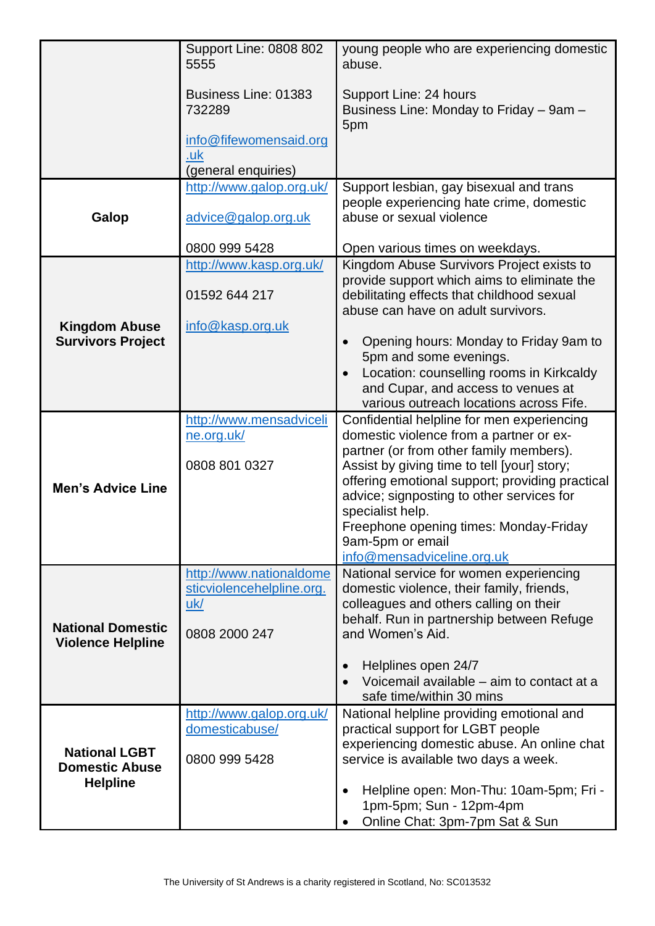|                                                      | <b>Support Line: 0808 802</b><br>5555                    | young people who are experiencing domestic<br>abuse.                                         |
|------------------------------------------------------|----------------------------------------------------------|----------------------------------------------------------------------------------------------|
|                                                      | Business Line: 01383<br>732289<br>info@fifewomensaid.org | Support Line: 24 hours<br>Business Line: Monday to Friday - 9am -<br>5pm                     |
|                                                      | .uk<br>(general enquiries)                               |                                                                                              |
|                                                      | http://www.galop.org.uk/                                 | Support lesbian, gay bisexual and trans                                                      |
| Galop                                                | advice@galop.org.uk                                      | people experiencing hate crime, domestic<br>abuse or sexual violence                         |
|                                                      | 0800 999 5428                                            | Open various times on weekdays.                                                              |
|                                                      | http://www.kasp.org.uk/                                  | Kingdom Abuse Survivors Project exists to<br>provide support which aims to eliminate the     |
|                                                      | 01592 644 217                                            | debilitating effects that childhood sexual<br>abuse can have on adult survivors.             |
| <b>Kingdom Abuse</b>                                 | info@kasp.org.uk                                         |                                                                                              |
| <b>Survivors Project</b>                             |                                                          | Opening hours: Monday to Friday 9am to<br>$\bullet$<br>5pm and some evenings.                |
|                                                      |                                                          | Location: counselling rooms in Kirkcaldy<br>$\bullet$                                        |
|                                                      |                                                          | and Cupar, and access to venues at<br>various outreach locations across Fife.                |
|                                                      | http://www.mensadviceli                                  | Confidential helpline for men experiencing                                                   |
|                                                      | <u>ne.org.uk/</u>                                        | domestic violence from a partner or ex-<br>partner (or from other family members).           |
| <b>Men's Advice Line</b>                             | 0808 801 0327                                            | Assist by giving time to tell [your] story;                                                  |
|                                                      |                                                          | offering emotional support; providing practical<br>advice; signposting to other services for |
|                                                      |                                                          | specialist help.                                                                             |
|                                                      |                                                          | Freephone opening times: Monday-Friday<br>9am-5pm or email                                   |
|                                                      |                                                          | info@mensadviceline.org.uk                                                                   |
|                                                      | http://www.nationaldome<br>sticviolencehelpline.org.     | National service for women experiencing<br>domestic violence, their family, friends,         |
|                                                      | uk/                                                      | colleagues and others calling on their                                                       |
| <b>National Domestic</b><br><b>Violence Helpline</b> | 0808 2000 247                                            | behalf. Run in partnership between Refuge<br>and Women's Aid.                                |
|                                                      |                                                          | Helplines open 24/7<br>$\bullet$                                                             |
|                                                      |                                                          | Voicemail available - aim to contact at a<br>safe time/within 30 mins                        |
|                                                      | http://www.galop.org.uk/                                 | National helpline providing emotional and                                                    |
| <b>National LGBT</b><br><b>Domestic Abuse</b>        | domesticabuse/                                           | practical support for LGBT people<br>experiencing domestic abuse. An online chat             |
|                                                      | 0800 999 5428                                            | service is available two days a week.                                                        |
| <b>Helpline</b>                                      |                                                          | Helpline open: Mon-Thu: 10am-5pm; Fri -<br>$\bullet$                                         |
|                                                      |                                                          | 1pm-5pm; Sun - 12pm-4pm                                                                      |
|                                                      |                                                          | Online Chat: 3pm-7pm Sat & Sun                                                               |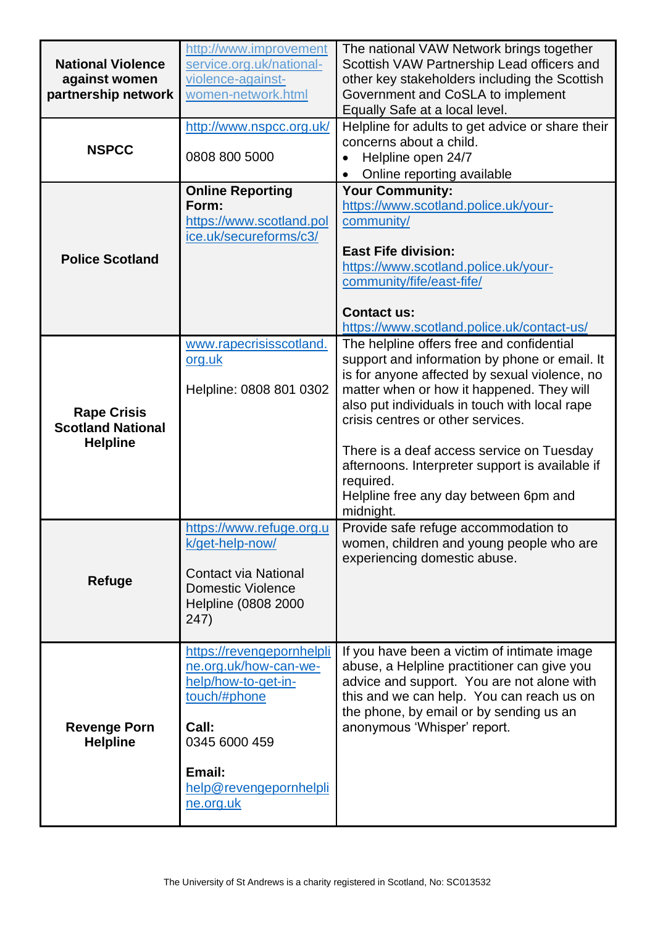| <b>National Violence</b><br>against women<br>partnership network  | http://www.improvement<br>service.org.uk/national-<br>violence-against-<br>women-network.html                                                                        | The national VAW Network brings together<br>Scottish VAW Partnership Lead officers and<br>other key stakeholders including the Scottish<br>Government and CoSLA to implement<br>Equally Safe at a local level.                                                                                                                                                                                                                                    |
|-------------------------------------------------------------------|----------------------------------------------------------------------------------------------------------------------------------------------------------------------|---------------------------------------------------------------------------------------------------------------------------------------------------------------------------------------------------------------------------------------------------------------------------------------------------------------------------------------------------------------------------------------------------------------------------------------------------|
| <b>NSPCC</b>                                                      | http://www.nspcc.org.uk/<br>0808 800 5000                                                                                                                            | Helpline for adults to get advice or share their<br>concerns about a child.<br>Helpline open 24/7<br>Online reporting available                                                                                                                                                                                                                                                                                                                   |
| <b>Police Scotland</b>                                            | <b>Online Reporting</b><br>Form:<br>https://www.scotland.pol<br>ice.uk/secureforms/c3/                                                                               | <b>Your Community:</b><br>https://www.scotland.police.uk/your-<br>community/<br><b>East Fife division:</b><br>https://www.scotland.police.uk/your-<br>community/fife/east-fife/<br><b>Contact us:</b><br>https://www.scotland.police.uk/contact-us/                                                                                                                                                                                               |
| <b>Rape Crisis</b><br><b>Scotland National</b><br><b>Helpline</b> | www.rapecrisisscotland.<br>org.uk<br>Helpline: 0808 801 0302                                                                                                         | The helpline offers free and confidential<br>support and information by phone or email. It<br>is for anyone affected by sexual violence, no<br>matter when or how it happened. They will<br>also put individuals in touch with local rape<br>crisis centres or other services.<br>There is a deaf access service on Tuesday<br>afternoons. Interpreter support is available if<br>required.<br>Helpline free any day between 6pm and<br>midnight. |
| Refuge                                                            | https://www.refuge.org.u<br>k/get-help-now/<br><b>Contact via National</b><br><b>Domestic Violence</b><br>Helpline (0808 2000<br>247)                                | Provide safe refuge accommodation to<br>women, children and young people who are<br>experiencing domestic abuse.                                                                                                                                                                                                                                                                                                                                  |
| <b>Revenge Porn</b><br><b>Helpline</b>                            | https://revengepornhelpli<br>ne.org.uk/how-can-we-<br>help/how-to-get-in-<br>touch/#phone<br>Call:<br>0345 6000 459<br>Email:<br>help@revengepornhelpli<br>ne.org.uk | If you have been a victim of intimate image<br>abuse, a Helpline practitioner can give you<br>advice and support. You are not alone with<br>this and we can help. You can reach us on<br>the phone, by email or by sending us an<br>anonymous 'Whisper' report.                                                                                                                                                                                   |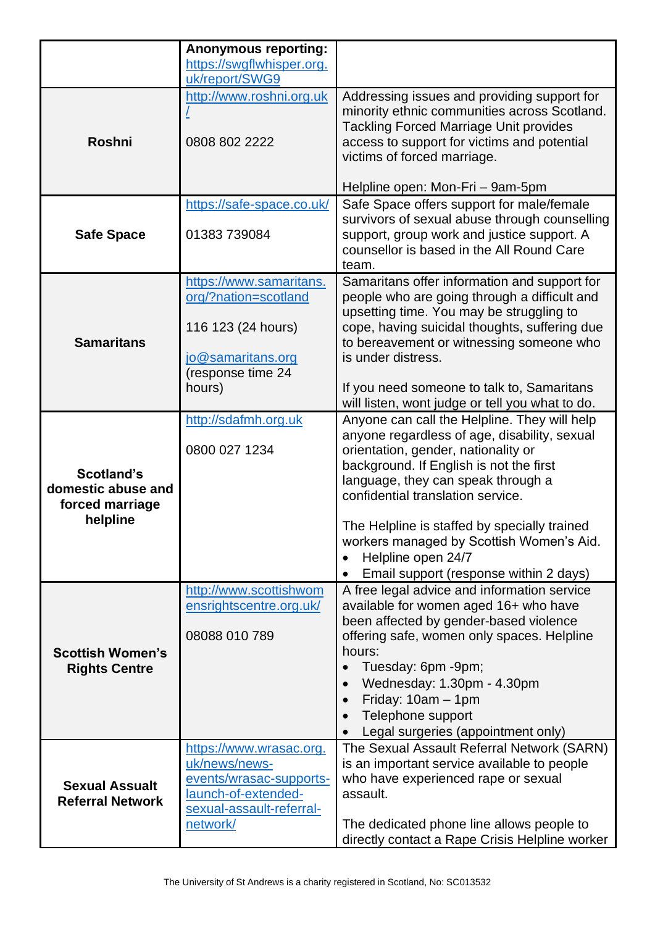|                                                  | <b>Anonymous reporting:</b> |                                                                                               |
|--------------------------------------------------|-----------------------------|-----------------------------------------------------------------------------------------------|
|                                                  | https://swgflwhisper.org.   |                                                                                               |
|                                                  | uk/report/SWG9              |                                                                                               |
|                                                  | http://www.roshni.org.uk    | Addressing issues and providing support for<br>minority ethnic communities across Scotland.   |
|                                                  |                             | <b>Tackling Forced Marriage Unit provides</b>                                                 |
| <b>Roshni</b>                                    | 0808 802 2222               | access to support for victims and potential                                                   |
|                                                  |                             | victims of forced marriage.                                                                   |
|                                                  |                             |                                                                                               |
|                                                  |                             | Helpline open: Mon-Fri - 9am-5pm                                                              |
|                                                  | https://safe-space.co.uk/   | Safe Space offers support for male/female                                                     |
|                                                  |                             | survivors of sexual abuse through counselling                                                 |
| <b>Safe Space</b>                                | 01383 739084                | support, group work and justice support. A                                                    |
|                                                  |                             | counsellor is based in the All Round Care<br>team.                                            |
|                                                  | https://www.samaritans.     | Samaritans offer information and support for                                                  |
|                                                  | org/?nation=scotland        | people who are going through a difficult and                                                  |
|                                                  |                             | upsetting time. You may be struggling to                                                      |
|                                                  | 116 123 (24 hours)          | cope, having suicidal thoughts, suffering due                                                 |
| <b>Samaritans</b>                                |                             | to bereavement or witnessing someone who                                                      |
|                                                  | jo@samaritans.org           | is under distress.                                                                            |
|                                                  | (response time 24           |                                                                                               |
|                                                  | hours)                      | If you need someone to talk to, Samaritans<br>will listen, wont judge or tell you what to do. |
|                                                  | http://sdafmh.org.uk        | Anyone can call the Helpline. They will help                                                  |
|                                                  |                             | anyone regardless of age, disability, sexual                                                  |
|                                                  | 0800 027 1234               | orientation, gender, nationality or                                                           |
|                                                  |                             | background. If English is not the first                                                       |
| <b>Scotland's</b><br>domestic abuse and          |                             | language, they can speak through a                                                            |
| forced marriage                                  |                             | confidential translation service.                                                             |
| helpline                                         |                             |                                                                                               |
|                                                  |                             | The Helpline is staffed by specially trained<br>workers managed by Scottish Women's Aid.      |
|                                                  |                             | Helpline open 24/7                                                                            |
|                                                  |                             | Email support (response within 2 days)                                                        |
|                                                  | http://www.scottishwom      | A free legal advice and information service                                                   |
|                                                  | ensrightscentre.org.uk/     | available for women aged 16+ who have                                                         |
|                                                  |                             | been affected by gender-based violence                                                        |
|                                                  | 08088 010 789               | offering safe, women only spaces. Helpline                                                    |
| <b>Scottish Women's</b>                          |                             | hours:                                                                                        |
| <b>Rights Centre</b>                             |                             | Tuesday: 6pm -9pm;                                                                            |
|                                                  |                             | Wednesday: 1.30pm - 4.30pm                                                                    |
|                                                  |                             | Friday: $10am - 1pm$                                                                          |
|                                                  |                             | Telephone support<br>Legal surgeries (appointment only)                                       |
|                                                  | https://www.wrasac.org.     | The Sexual Assault Referral Network (SARN)                                                    |
|                                                  | uk/news/news-               | is an important service available to people                                                   |
|                                                  | events/wrasac-supports-     | who have experienced rape or sexual                                                           |
| <b>Sexual Assualt</b><br><b>Referral Network</b> | launch-of-extended-         | assault.                                                                                      |
|                                                  | sexual-assault-referral-    |                                                                                               |
|                                                  | network/                    | The dedicated phone line allows people to                                                     |
|                                                  |                             | directly contact a Rape Crisis Helpline worker                                                |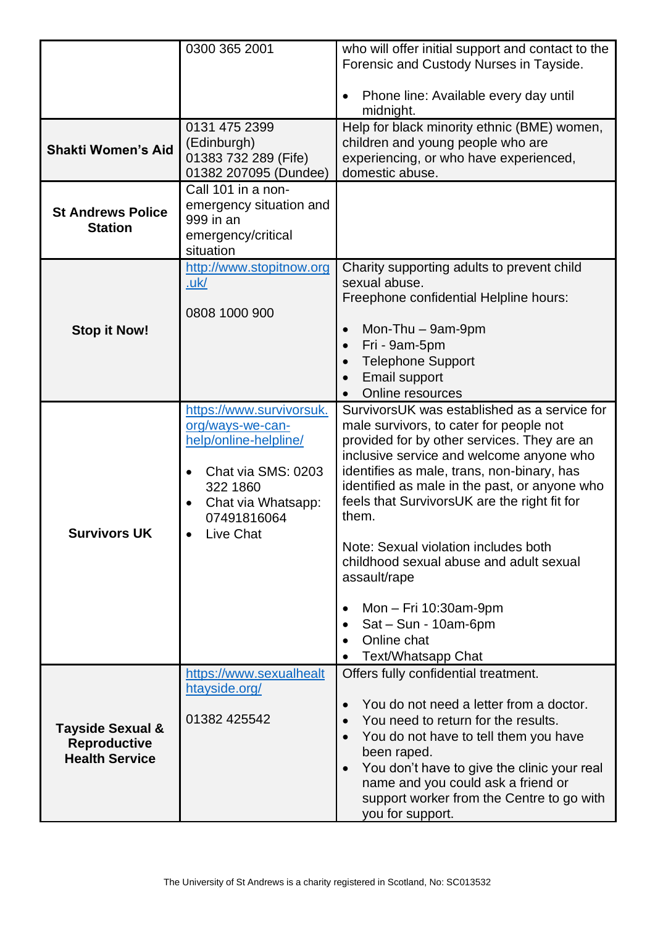|                                                                             | 0300 365 2001                                                                                                                                             | who will offer initial support and contact to the                                                                                                                                                                                                                                                                                                                                                                                                                                                                                                             |
|-----------------------------------------------------------------------------|-----------------------------------------------------------------------------------------------------------------------------------------------------------|---------------------------------------------------------------------------------------------------------------------------------------------------------------------------------------------------------------------------------------------------------------------------------------------------------------------------------------------------------------------------------------------------------------------------------------------------------------------------------------------------------------------------------------------------------------|
|                                                                             |                                                                                                                                                           | Forensic and Custody Nurses in Tayside.                                                                                                                                                                                                                                                                                                                                                                                                                                                                                                                       |
|                                                                             |                                                                                                                                                           | Phone line: Available every day until<br>midnight.                                                                                                                                                                                                                                                                                                                                                                                                                                                                                                            |
| <b>Shakti Women's Aid</b>                                                   | 0131 475 2399<br>(Edinburgh)<br>01383 732 289 (Fife)<br>01382 207095 (Dundee)                                                                             | Help for black minority ethnic (BME) women,<br>children and young people who are<br>experiencing, or who have experienced,<br>domestic abuse.                                                                                                                                                                                                                                                                                                                                                                                                                 |
| <b>St Andrews Police</b><br><b>Station</b>                                  | Call 101 in a non-<br>emergency situation and<br>999 in an<br>emergency/critical<br>situation                                                             |                                                                                                                                                                                                                                                                                                                                                                                                                                                                                                                                                               |
| <b>Stop it Now!</b>                                                         | http://www.stopitnow.org<br>.uk/<br>0808 1000 900                                                                                                         | Charity supporting adults to prevent child<br>sexual abuse.<br>Freephone confidential Helpline hours:<br>Mon-Thu - 9am-9pm<br>$\bullet$<br>Fri - 9am-5pm<br>$\bullet$<br><b>Telephone Support</b><br><b>Email support</b><br>Online resources                                                                                                                                                                                                                                                                                                                 |
| Survivors UK                                                                | https://www.survivorsuk.<br>org/ways-we-can-<br>help/online-helpline/<br>Chat via SMS: 0203<br>322 1860<br>Chat via Whatsapp:<br>07491816064<br>Live Chat | SurvivorsUK was established as a service for<br>male survivors, to cater for people not<br>provided for by other services. They are an<br>inclusive service and welcome anyone who<br>identifies as male, trans, non-binary, has<br>identified as male in the past, or anyone who<br>feels that SurvivorsUK are the right fit for<br>them.<br>Note: Sexual violation includes both<br>childhood sexual abuse and adult sexual<br>assault/rape<br>Mon - Fri 10:30am-9pm<br>$\bullet$<br>Sat - Sun - 10am-6pm<br>$\bullet$<br>Online chat<br>Text/Whatsapp Chat |
| <b>Tayside Sexual &amp;</b><br><b>Reproductive</b><br><b>Health Service</b> | https://www.sexualhealt<br>htayside.org/<br>01382 425542                                                                                                  | Offers fully confidential treatment.<br>You do not need a letter from a doctor.<br>$\bullet$<br>You need to return for the results.<br>You do not have to tell them you have<br>$\bullet$<br>been raped.<br>You don't have to give the clinic your real<br>$\bullet$<br>name and you could ask a friend or<br>support worker from the Centre to go with<br>you for support.                                                                                                                                                                                   |